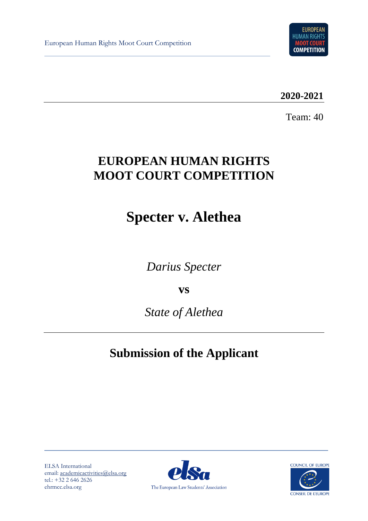European Human Rights Moot Court Competition



**2020-2021**

Team: 40

# **EUROPEAN HUMAN RIGHTS MOOT COURT COMPETITION**

# **Specter v. Alethea**

*Darius Specter*

**vs**

*State of Alethea*

# **Submission of the Applicant**

ELSA International email: [academicactivities@elsa.org](mailto:academicactivities@elsa.org) tel.: +32 2 646 2626 ehrmcc.elsa.org



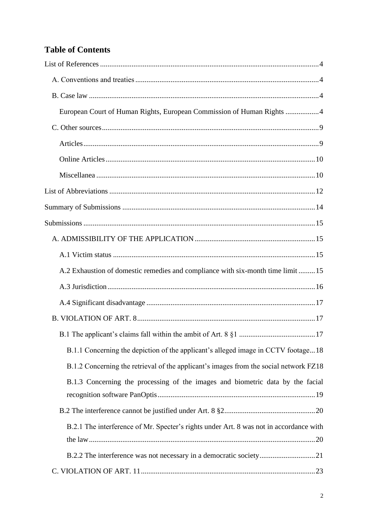# **Table of Contents**

| European Court of Human Rights, European Commission of Human Rights 4                  |  |
|----------------------------------------------------------------------------------------|--|
|                                                                                        |  |
|                                                                                        |  |
|                                                                                        |  |
|                                                                                        |  |
|                                                                                        |  |
|                                                                                        |  |
|                                                                                        |  |
|                                                                                        |  |
|                                                                                        |  |
| A.2 Exhaustion of domestic remedies and compliance with six-month time limit  15       |  |
|                                                                                        |  |
|                                                                                        |  |
|                                                                                        |  |
|                                                                                        |  |
| B.1.1 Concerning the depiction of the applicant's alleged image in CCTV footage18      |  |
| B.1.2 Concerning the retrieval of the applicant's images from the social network FZ18  |  |
| B.1.3 Concerning the processing of the images and biometric data by the facial         |  |
|                                                                                        |  |
| B.2.1 The interference of Mr. Specter's rights under Art. 8 was not in accordance with |  |
|                                                                                        |  |
|                                                                                        |  |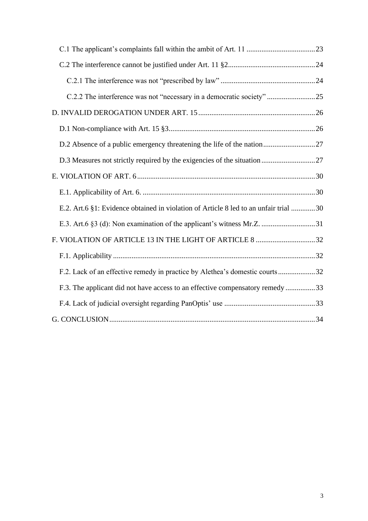| C.2.2 The interference was not "necessary in a democratic society"25                 |
|--------------------------------------------------------------------------------------|
|                                                                                      |
|                                                                                      |
|                                                                                      |
|                                                                                      |
|                                                                                      |
|                                                                                      |
| E.2. Art.6 §1: Evidence obtained in violation of Article 8 led to an unfair trial 30 |
|                                                                                      |
| F. VIOLATION OF ARTICLE 13 IN THE LIGHT OF ARTICLE 8 32                              |
|                                                                                      |
| F.2. Lack of an effective remedy in practice by Alethea's domestic courts32          |
| F.3. The applicant did not have access to an effective compensatory remedy 33        |
|                                                                                      |
|                                                                                      |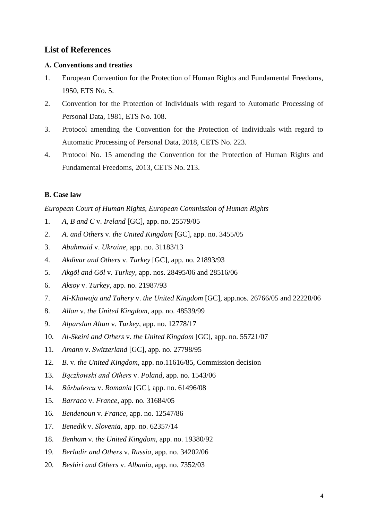# <span id="page-3-0"></span>**List of References**

# <span id="page-3-1"></span>**Α. Conventions and treaties**

- 1. European Convention for the Protection of Human Rights and Fundamental Freedoms, 1950, ETS No. 5.
- 2. Convention for the Protection of Individuals with regard to Automatic Processing of Personal Data, 1981, ETS No. 108.
- 3. Protocol amending the Convention for the Protection of Individuals with regard to Automatic Processing of Personal Data, 2018, CETS No. 223.
- <span id="page-3-2"></span>4. Protocol No. 15 amending the Convention for the Protection of Human Rights and Fundamental Freedoms, 2013, CETS No. 213.

# **B. Case law**

# <span id="page-3-3"></span>*European Court of Human Rights, European Commission of Human Rights*

- 1. *A, B and C* v. *Ireland* [GC], app. no. 25579/05
- 2. *A. and Others* v. *the United Kingdom* [GC], app. no. 3455/05
- 3. *Abuhmaid* v. *Ukraine*, app. no. 31183/13
- 4. *Akdivar and Others* v. *Turkey* [GC], app. no. 21893/93
- 5. *Akgöl and Göl* v. *Turkey*, app. nos. 28495/06 and 28516/06
- 6. *Aksoy* v. *Turkey*, app. no. 21987/93
- 7. *Al-Khawaja and Tahery* v. *the United Kingdom* [GC], app.nos. 26766/05 and 22228/06
- 8. *Allan* v. *the United Kingdom*, app. no. 48539/99
- 9. *Alparslan Altan* v. *Turkey*, app. no. 12778/17
- 10. *Al-Skeini and Others* v. *the United Kingdom* [GC], app. no. 55721/07
- 11. *Amann* v. *Switzerland* [GC], app. no. 27798/95
- 12. *B.* v. *the United Kingdom*, app. no.11616/85, Commission decision
- 13. *Bączkowski and Others* v. *Poland,* app. no. 1543/06
- 14. *Bărbulescu* v. *Romania* [GC], app. no. 61496/08
- 15. *Barraco* v. *France*, app. no. 31684/05
- 16. *Bendenoun* v. *France,* app. no. 12547/86
- 17. *Benedik* v. *Slovenia,* app. no. 62357/14
- 18. *Benham* v. *the United Kingdom,* app. no. 19380/92
- 19. *Berladir and Others* v. *Russia*, app. no. 34202/06
- 20. *Beshiri and Others* v. *Albania*, app. no. 7352/03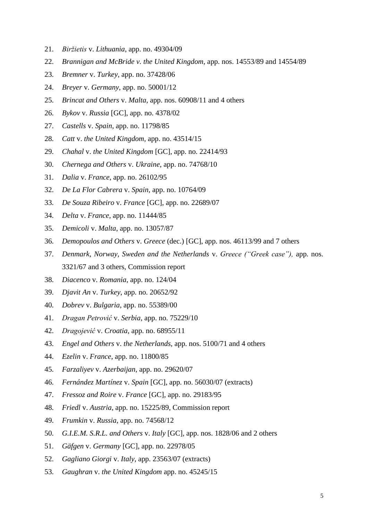- 21. *Biržietis* v. *Lithuania*, app. no. 49304/09
- 22. *Brannigan and McBride v. the United Kingdom*, app. nos. 14553/89 and 14554/89
- 23. *Bremner* v. *Turkey*, app. no. 37428/06
- 24. *Breyer* v. *Germany*, app. no. 50001/12
- 25. *Brincat and Others* v. *Malta*, app. nos. 60908/11 and 4 others
- 26. *Bykov* v. *Russia* [GC], app. no. 4378/02
- 27. *Castells* v. *Spain*, app. no. 11798/85
- 28. *Catt* v. *the United Kingdom*, app. no. 43514/15
- 29. *Chahal* v. *the United Kingdom* [GC], app. no. 22414/93
- 30. *Chernega and Others* v. *Ukraine*, app. no. 74768/10
- 31. *Dalia* v. *France*, app. no. 26102/95
- 32. *De La Flor Cabrera* v. *Spain*, app. no. 10764/09
- 33. *De Souza Ribeiro* v. *France* [GC], app. no. 22689/07
- 34. *Delta* v. *France*, app. no. 11444/85
- 35. *Demicoli* v. *Malta*, app. no. 13057/87
- 36. *Demopoulos and Others* v. *Greece* (dec.) [GC], app. nos. 46113/99 and 7 others
- 37. *Denmark, Norway, Sweden and the Netherlands* v. *Greece ("Greek case"),* app. nos. 3321/67 and 3 others, Commission report
- 38. *Diacenco* v. *Romania*, app. no. 124/04
- 39. *Djavit An* v. *Turkey*, app. no. 20652/92
- 40. *Dobrev* v. *Bulgaria*, app. no. 55389/00
- 41. *Dragan Petrović* v. *Serbia*, app. no. 75229/10
- 42. *Dragojević* v. *Croatia*, app. no. 68955/11
- 43. *Engel and Others* v. *the Netherlands*, app. nos. 5100/71 and 4 others
- 44. *Ezelin* v. *France*, app. no. 11800/85
- 45. *Farzaliyev* v. *Azerbaijan*, app. no. 29620/07
- 46. *Fernández Martínez* v. *Spain* [GC], app. no. 56030/07 (extracts)
- 47. *Fressoz and Roire* v. *France* [GC], app. no. 29183/95
- 48. *Friedl* v. *Austria*, app. no. 15225/89, Commission report
- 49. *Frumkin* v. *Russia*, app. no. 74568/12
- 50. *G.I.E.M. S.R.L. and Others* v. *Italy* [GC], app. nos. 1828/06 and 2 others
- 51. *Gäfgen* v. *Germany* [GC], app. no. 22978/05
- 52. *Gagliano Giorgi* v. *Italy*, app. 23563/07 (extracts)
- 53. *Gaughran* v. *the United Kingdom* app. no. 45245/15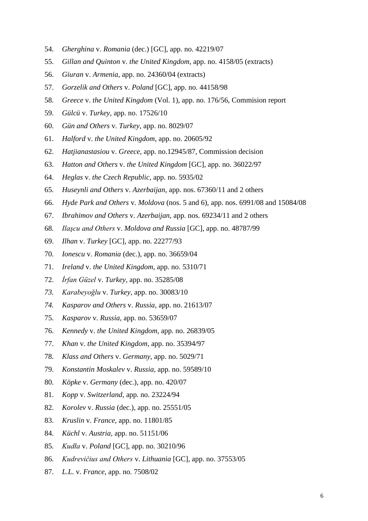- 54. *Gherghina* v. *Romania* (dec.) [GC], app. no. 42219/07
- 55. *Gillan and Quinton* v. *the United Kingdom*, app. no. 4158/05 (extracts)
- 56. *Giuran* v. *Armenia*, app. no. 24360/04 (extracts)
- 57. *Gorzelik and Others* v. *Poland* [GC], app. no. 44158/98
- 58. *Greece* v. *the United Kingdom* (Vol. 1), app. no. 176/56, Commision report
- 59. *Gülcü* v. *Turkey*, app. no. 17526/10
- 60. *Gün and Others* v. *Turkey*, app. no. 8029/07
- 61. *Halford* v. *the United Kingdom*, app. no. 20605/92
- 62. *Hatjianastasiou* v. *Greece*, app. no.12945/87, Commission decision
- 63. *Hatton and Others* v. *the United Kingdom* [GC], app. no. 36022/97
- 64. *Heglas* v*. the Czech Republic*, app. no. 5935/02
- 65. *Huseynli and Others* v. *Azerbaijan*, app. nos. 67360/11 and 2 others
- 66. *Hyde Park and Others* v. *Moldova* (nos. 5 and 6), app. nos. 6991/08 and 15084/08
- 67. *Ibrahimov and Others* v. *Azerbaijan*, app. nos. 69234/11 and 2 others
- 68. *Ilaşcu and Others* v. *Moldova and Russia* [GC], app. no. 48787/99
- 69. *Ilhan* v. *Turkey* [GC], app. no. 22277/93
- 70. *Ionescu* v. *Romania* (dec.), app. no. 36659/04
- 71. *Ireland* v. *the United Kingdom*, app. no. 5310/71
- 72. *İrfan Güzel* v. *Turkey*, app. no. 35285/08
- *73. Karabeyoğlu* v. *Turkey,* app. no. 30083/10
- *74. Kasparov and Others* v. *Russia,* app. no. 21613/07
- 75. *Kasparov* v. *Russia*, app. no. 53659/07
- 76. *Kennedy* v. *the United Kingdom*, app. no. 26839/05
- 77. *Khan* v. *the United Kingdom*, app. no. 35394/97
- 78. *Klass and Others* v. *Germany*, app. no. 5029/71
- 79. *Konstantin Moskalev* v. *Russia*, app. no. 59589/10
- 80. *Köpke* v. *Germany* (dec.), app. no. 420/07
- 81. *Kopp* v. *Switzerland*, app. no. 23224/94
- 82. *Korolev* v. *Russia* (dec.), app. no. 25551/05
- 83. *Kruslin* v. *France,* app. no. 11801/85
- 84. *Küchl* v. *Austria*, app. no. 51151/06
- 85. *Kudła* v. *Poland* [GC], app. no. 30210/96
- 86. *Kudrevičius and Others* v. *Lithuania* [GC], app. no. 37553/05
- 87. *L.L.* v. *France*, app. no. 7508/02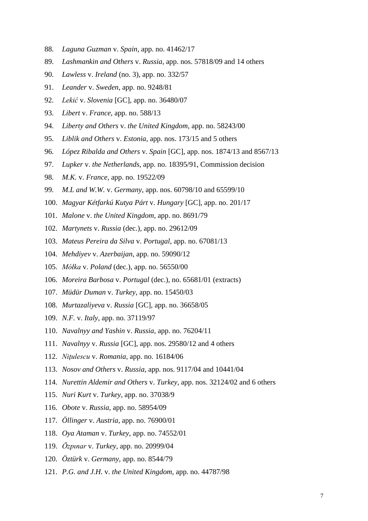- 88. *Laguna Guzman* v. *Spain*, app. no. 41462/17
- 89. *Lashmankin and Others* v. *Russia*, app. nos. 57818/09 and 14 others
- 90. *Lawless* v. *Ireland* (no. 3), app. no. 332/57
- 91. *Leander* v. *Sweden*, app. no. 9248/81
- 92. *Lekić* v. *Slovenia* [GC], app. no. 36480/07
- 93. *Libert* v. *France*, app. no. 588/13
- 94. *Liberty and Others* v. *the United Kingdom*, app. no. 58243/00
- 95. *Liblik and Others* v. *Estonia*, app. nos. 173/15 and 5 others
- 96. *López Ribalda and Others* v. *Spain* [GC], app. nos. 1874/13 and 8567/13
- 97. *Lupker* v. *the Netherlands*, app. no. 18395/91, Commission decision
- 98. *M.K.* v. *France*, app. no. 19522/09
- 99. *M.L and W.W.* v. *Germany,* app. nos. 60798/10 and 65599/10
- 100. *Magyar Kétfarkú Kutya Párt* v. *Hungary* [GC], app. no. 201/17
- 101. *Malone* v. *the United Kingdom*, app. no. 8691/79
- 102. *Martynets* v. *Russia* (dec.), app. no. 29612/09
- 103. *Mateus Pereira da Silva* v. *Portugal*, app. no. 67081/13
- 104. *Mehdiyev* v. *Azerbaijan*, app. no. 59090/12
- 105. *Mółka* v. *Poland* (dec.), app. no. 56550/00
- 106. *Moreira Barbosa* v. *Portugal* (dec.), no. 65681/01 (extracts)
- 107. *Müdür Duman* v. *Turkey*, app. no. 15450/03
- 108. *Murtazaliyeva* v. *Russia* [GC], app. no. 36658/05
- 109. *N.F.* v. *Italy*, app. no. 37119/97
- 110. *Navalnyy and Yashin* v. *Russia*, app. no. 76204/11
- 111. *Navalnyy* v. *Russia* [GC], app. nos. 29580/12 and 4 others
- 112. *Niţulescu* v. *Romania*, app. no. 16184/06
- 113. *Nosov and Others* v. *Russia*, app. nos. 9117/04 and 10441/04
- 114. *Nurettin Aldemir and Others* v. *Turkey*, app. nos. 32124/02 and 6 others
- 115. *Nuri Kurt* v. *Turkey*, app. no. 37038/9
- 116. *Obote* v. *Russia*, app. no. 58954/09
- 117. *Öllinger* v. *Austria*, app. no. 76900/01
- 118. *Oya Ataman* v. *Turkey*, app. no. 74552/01
- 119. *Özpınar* v. *Turkey*, app. no. 20999/04
- 120. *Öztürk* v. *Germany,* app. no. 8544/79
- 121. *P.G. and J.H.* v. *the United Kingdom,* app. no. 44787/98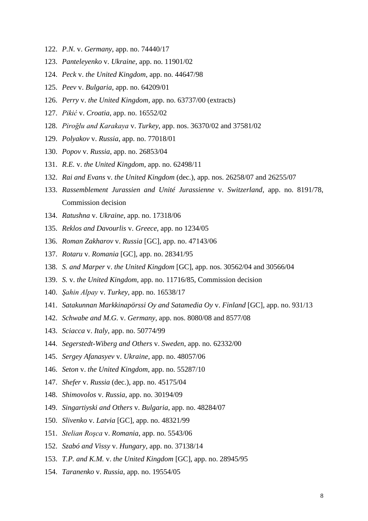- 122. *P.N.* v. *Germany*, app. no. 74440/17
- 123. *Panteleyenko* v. *Ukraine*, app. no. 11901/02
- 124. *Peck* v. *the United Kingdom*, app. no. 44647/98
- 125. *Peev* v. *Bulgaria*, app. no. 64209/01
- 126. *Perry* v. *the United Kingdom,* app. no. 63737/00 (extracts)
- 127. *Pikić* v. *Croatia*, app. no. 16552/02
- 128. *Piroğlu and Karakaya* v. *Turkey*, app. nos. 36370/02 and 37581/02
- 129. *Polyakov* v. *Russia*, app. no. 77018/01
- 130. *Popov* v. *Russia*, app. no. 26853/04
- 131. *R.E.* v. *the United Kingdom*, app. no. 62498/11
- 132. *Rai and Evans* v. *the United Kingdom* (dec.), app. nos. 26258/07 and 26255/07
- 133. *Rassemblement Jurassien and Unité Jurassienne* v. *Switzerland*, app. no. 8191/78, Commission decision
- 134. *Ratushna* v. *Ukraine*, app. no. 17318/06
- 135. *Reklos and Davourlis* v. *Greece*, app. no 1234/05
- 136. *Roman Zakharov* v. *Russia* [GC], app. no. 47143/06
- 137. *Rotaru* v. *Romania* [GC], app. no. 28341/95
- 138. *S. and Marper* v. *the United Kingdom* [GC], app. nos. 30562/04 and 30566/04
- 139. *S.* v. *the United Kingdom*, app. no. 11716/85, Commission decision
- 140. *Şahin Alpay* v. *Turkey*, app. no. 16538/17
- 141. *Satakunnan Markkinapörssi Oy and Satamedia Oy* v. *Finland* [GC], app. no. 931/13
- 142. *Schwabe and M.G.* v. *Germany*, app. nos. 8080/08 and 8577/08
- 143. *Sciacca* v. *Italy*, app. no. 50774/99
- 144. *Segerstedt-Wiberg and Others* v. *Sweden*, app. no. 62332/00
- 145. *Sergey Afanasyev* v. *Ukraine*, app. no. 48057/06
- 146. *Seton* v. *the United Kingdom*, app. no. 55287/10
- 147. *Shefer* v. *Russia* (dec.), app. no. 45175/04
- 148. *Shimovolos* v. *Russia*, app. no. 30194/09
- 149. *Singartiyski and Others* v. *Bulgaria*, app. no. 48284/07
- 150. *Slivenko* v. *Latvia* [GC], app. no. 48321/99
- 151. *Stelian Roşca* v. *Romania*, app. no. 5543/06
- 152. *Szabó and Vissy* v. *Hungary*, app. no. 37138/14
- 153. *T.P. and K.M.* v. *the United Kingdom* [GC], app. no. 28945/95
- 154. *Taranenko* v. *Russia*, app. no. 19554/05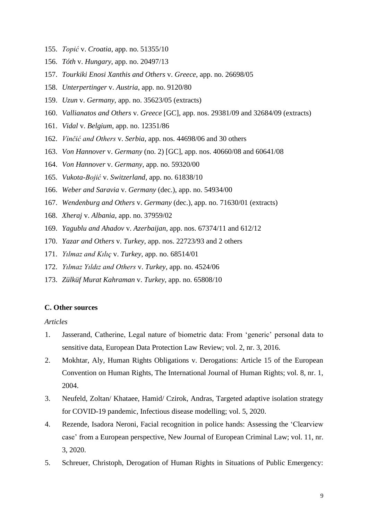- 155. *Topić* v. *Croatia*, app. no. 51355/10
- 156. *Tóth* v. *Hungary*, app. no. 20497/13
- 157. *Tourkiki Enosi Xanthis and Others* v. *Greece*, app. no. 26698/05
- 158. *Unterpertinger* v. *Austria*, app. no. 9120/80
- 159. *Uzun* v. *Germany*, app. no. 35623/05 (extracts)
- 160. *Vallianatos and Others* v. *Greece* [GC], app. nos. 29381/09 and 32684/09 (extracts)
- 161. *Vidal* v. *Belgium*, app. no. 12351/86
- 162. *Vinčić and Others* v. *Serbia*, app. nos. 44698/06 and 30 others
- 163. *Von Hannover* v. *Germany* (no. 2) [GC], app. nos. 40660/08 and 60641/08
- 164. *Von Hannover* v. *Germany*, app. no. 59320/00
- 165. *Vukota-Bojić* v. *Switzerland*, app. no. 61838/10
- 166. *Weber and Saravia* v. *Germany* (dec.), app. no. 54934/00
- 167. *Wendenburg and Others* v. *Germany* (dec.), app. no. 71630/01 (extracts)
- 168. *Xheraj* v. *Albania*, app. no. 37959/02
- 169. *Yagublu and Ahadov* v. *Azerbaijan*, app. nos. 67374/11 and 612/12
- 170. *Yazar and Others* v. *Turkey*, app. nos. 22723/93 and 2 others
- 171. *Yılmaz and Kılıç* v. *Turkey*, app. no. 68514/01
- 172. *Yılmaz Yıldız and Others* v. *Turkey*, app. no. 4524/06
- <span id="page-8-0"></span>173. *Zülküf Murat Kahraman* v. *Turkey*, app. no. 65808/10

# **C. Other sources**

# <span id="page-8-1"></span>*Articles*

- 1. Jasserand, Catherine, Legal nature of biometric data: From 'generic' personal data to sensitive data, European Data Protection Law Review; vol. 2, nr. 3, 2016.
- 2. Mokhtar, Aly, Human Rights Obligations v. Derogations: Article 15 of the European Convention on Human Rights, The International Journal of Human Rights; vol. 8, nr. 1, 2004.
- 3. Neufeld, Zoltan/ Khataee, Hamid/ Czirok, Andras, Targeted adaptive isolation strategy for COVID-19 pandemic, Infectious disease modelling; vol. 5, 2020.
- 4. Rezende, Isadora Neroni, Facial recognition in police hands: Assessing the 'Clearview case' from a European perspective, New Journal of European Criminal Law; vol. 11, nr. 3, 2020.
- 5. Schreuer, Christoph, Derogation of Human Rights in Situations of Public Emergency: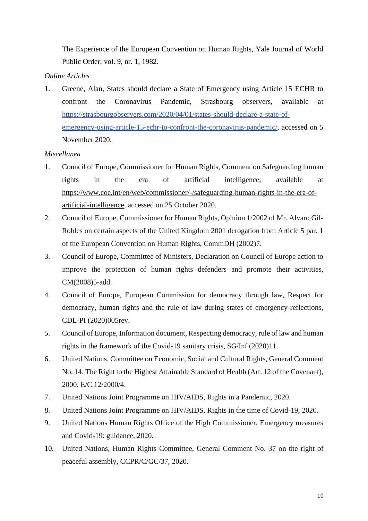The Experience of the European Convention on Human Rights, Yale Journal of World Public Order; vol. 9, nr. 1, 1982.

# <span id="page-9-0"></span>*Online Articles*

1. Greene, Alan, States should declare a State of Emergency using Article 15 ECHR to confront the Coronavirus Pandemic, Strasbourg observers, available at [https://strasbourgobservers.com/2020/04/01/states-should-declare-a-state-of](https://strasbourgobservers.com/2020/04/01/states-should-declare-a-state-of-emergency-using-article-15-echr-to-confront-the-coronavirus-pandemic/)[emergency-using-article-15-echr-to-confront-the-coronavirus-pandemic/,](https://strasbourgobservers.com/2020/04/01/states-should-declare-a-state-of-emergency-using-article-15-echr-to-confront-the-coronavirus-pandemic/) accessed on 5 November 2020.

# <span id="page-9-1"></span>*Miscellanea*

- 1. Council of Europe, Commissioner for Human Rights, Comment on Safeguarding human rights in the era of artificial intelligence, available at [https://www.coe.int/en/web/commissioner/-/safeguarding-human-rights-in-the-era-of](https://www.coe.int/en/web/commissioner/-/safeguarding-human-rights-in-the-era-of-artificial-intelligence)[artificial-intelligence,](https://www.coe.int/en/web/commissioner/-/safeguarding-human-rights-in-the-era-of-artificial-intelligence) accessed on 25 October 2020.
- 2. Council of Europe, Commissioner for Human Rights, Opinion 1/2002 of Mr. Alvaro Gil-Robles on certain aspects of the United Kingdom 2001 derogation from Article 5 par. 1 of the European Convention on Human Rights, CommDH (2002)7.
- 3. Council of Europe, Committee of Ministers, Declaration on Council of Europe action to improve the protection of human rights defenders and promote their activities, CM(2008)5-add.
- 4. Council of Europe, European Commission for democracy through law, Respect for democracy, human rights and the rule of law during states of emergency-reflections, CDL-PI (2020)005rev.
- 5. Council of Europe, Information document, Respecting democracy, rule of law and human rights in the framework of the Covid-19 sanitary crisis, SG/Inf (2020)11.
- 6. United Nations, Committee on Economic, Social and Cultural Rights, General Comment No. 14: The Right to the Highest Attainable Standard of Health (Art. 12 of the Covenant), 2000, E/C.12/2000/4.
- 7. United Nations Joint Programme on HIV/AIDS, Rights in a Pandemic, 2020.
- 8. United Nations Joint Programme on HIV/AIDS, Rights in the time of Covid-19, 2020.
- 9. United Nations Human Rights Office of the High Commissioner, Emergency measures and Covid-19: guidance, 2020.
- 10. United Nations, Human Rights Committee, General Comment No. 37 on the right of peaceful assembly, CCPR/C/GC/37, 2020.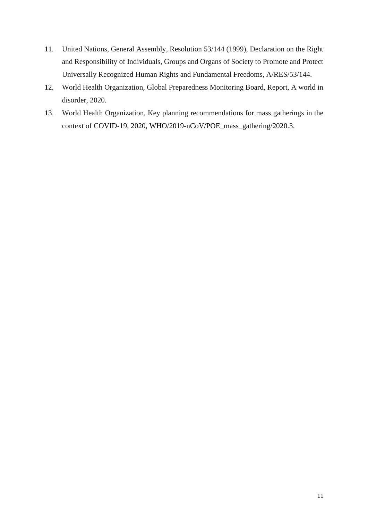- 11. United Nations, General Assembly, Resolution 53/144 (1999), Declaration on the Right and Responsibility of Individuals, Groups and Organs of Society to Promote and Protect Universally Recognized Human Rights and Fundamental Freedoms, A/RES/53/144.
- 12. World Health Organization, Global Preparedness Monitoring Board, Report, A world in disorder, 2020.
- 13. World Health Organization, Key planning recommendations for mass gatherings in the context of COVID-19, 2020, WHO/2019-nCoV/POE\_mass\_gathering/2020.3.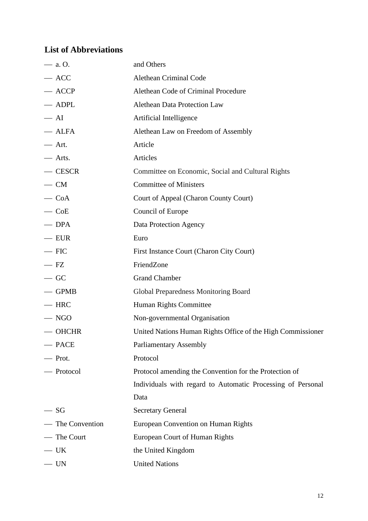# <span id="page-11-0"></span>**List of Abbreviations**

| $-$ a. O.        | and Others                                                  |
|------------------|-------------------------------------------------------------|
| $-$ ACC          | Alethean Criminal Code                                      |
| $-$ ACCP         | Alethean Code of Criminal Procedure                         |
| — ADPL           | Alethean Data Protection Law                                |
| $- AI$           | Artificial Intelligence                                     |
| — ALFA           | Alethean Law on Freedom of Assembly                         |
| $-$ Art.         | Article                                                     |
| — Arts.          | Articles                                                    |
| $-$ CESCR        | Committee on Economic, Social and Cultural Rights           |
| $-$ CM           | <b>Committee of Ministers</b>                               |
| $\sim$ CoA       | Court of Appeal (Charon County Court)                       |
| $\sim$ CoE       | Council of Europe                                           |
| $\equiv$ DPA     | Data Protection Agency                                      |
| $-$ EUR          | Euro                                                        |
| $-$ FIC          | First Instance Court (Charon City Court)                    |
| $- FZ$           | FriendZone                                                  |
| $-GC$            | <b>Grand Chamber</b>                                        |
| $-$ GPMB         | Global Preparedness Monitoring Board                        |
| $-$ HRC          | Human Rights Committee                                      |
| $-$ NGO          | Non-governmental Organisation                               |
| $-$ OHCHR        | United Nations Human Rights Office of the High Commissioner |
| — PACE           | <b>Parliamentary Assembly</b>                               |
| - Prot.          | Protocol                                                    |
| — Protocol       | Protocol amending the Convention for the Protection of      |
|                  | Individuals with regard to Automatic Processing of Personal |
|                  | Data                                                        |
| $-SG$            | <b>Secretary General</b>                                    |
| - The Convention | European Convention on Human Rights                         |
| - The Court      | European Court of Human Rights                              |
| — UK             | the United Kingdom                                          |
| $-$ UN           | <b>United Nations</b>                                       |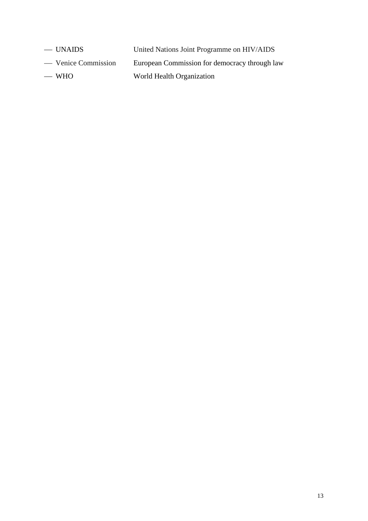— UNAIDS United Nations Joint Programme on HIV/AIDS

— Venice Commission European Commission for democracy through law

— WHO World Health Organization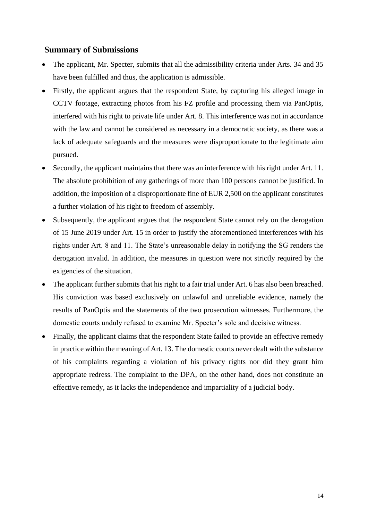# <span id="page-13-0"></span>**Summary of Submissions**

- The applicant, Mr. Specter, submits that all the admissibility criteria under Arts. 34 and 35 have been fulfilled and thus, the application is admissible.
- Firstly, the applicant argues that the respondent State, by capturing his alleged image in CCTV footage, extracting photos from his FZ profile and processing them via PanOptis, interfered with his right to private life under Art. 8. This interference was not in accordance with the law and cannot be considered as necessary in a democratic society, as there was a lack of adequate safeguards and the measures were disproportionate to the legitimate aim pursued.
- Secondly, the applicant maintains that there was an interference with his right under Art. 11. The absolute prohibition of any gatherings of more than 100 persons cannot be justified. In addition, the imposition of a disproportionate fine of EUR 2,500 on the applicant constitutes a further violation of his right to freedom of assembly.
- Subsequently, the applicant argues that the respondent State cannot rely on the derogation of 15 June 2019 under Art. 15 in order to justify the aforementioned interferences with his rights under Art. 8 and 11. The State's unreasonable delay in notifying the SG renders the derogation invalid. In addition, the measures in question were not strictly required by the exigencies of the situation.
- The applicant further submits that his right to a fair trial under Art. 6 has also been breached. His conviction was based exclusively on unlawful and unreliable evidence, namely the results of PanOptis and the statements of the two prosecution witnesses. Furthermore, the domestic courts unduly refused to examine Mr. Specter's sole and decisive witness.
- Finally, the applicant claims that the respondent State failed to provide an effective remedy in practice within the meaning of Art. 13. The domestic courts never dealt with the substance of his complaints regarding a violation of his privacy rights nor did they grant him appropriate redress. The complaint to the DPA, on the other hand, does not constitute an effective remedy, as it lacks the independence and impartiality of a judicial body.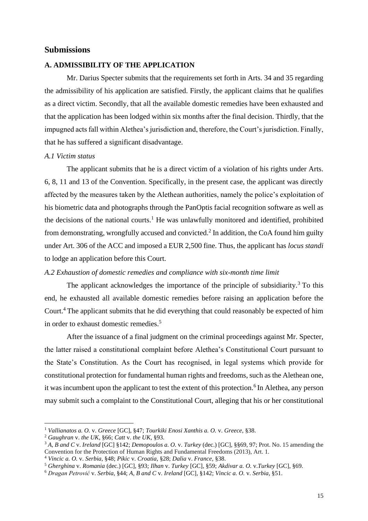# <span id="page-14-0"></span>**Submissions**

#### <span id="page-14-1"></span>**A. ADMISSIBILITY OF THE APPLICATION**

Mr. Darius Specter submits that the requirements set forth in Arts. 34 and 35 regarding the admissibility of his application are satisfied. Firstly, the applicant claims that he qualifies as a direct victim. Secondly, that all the available domestic remedies have been exhausted and that the application has been lodged within six months after the final decision. Thirdly, that the impugned acts fall within Alethea's jurisdiction and, therefore, the Court's jurisdiction. Finally, that he has suffered a significant disadvantage.

#### <span id="page-14-2"></span>*A.1 Victim status*

The applicant submits that he is a direct victim of a violation of his rights under Arts. 6, 8, 11 and 13 of the Convention. Specifically, in the present case, the applicant was directly affected by the measures taken by the Alethean authorities, namely the police's exploitation of his biometric data and photographs through the PanOptis facial recognition software as well as the decisions of the national courts.<sup>1</sup> He was unlawfully monitored and identified, prohibited from demonstrating, wrongfully accused and convicted.<sup>2</sup> In addition, the CoA found him guilty under Art. 306 of the ACC and imposed a EUR 2,500 fine. Thus, the applicant has *locus standi*  to lodge an application before this Court.

#### <span id="page-14-3"></span>*A.2 Exhaustion of domestic remedies and compliance with six-month time limit*

The applicant acknowledges the importance of the principle of subsidiarity.<sup>3</sup> To this end, he exhausted all available domestic remedies before raising an application before the Court.<sup>4</sup> The applicant submits that he did everything that could reasonably be expected of him in order to exhaust domestic remedies.<sup>5</sup>

After the issuance of a final judgment on the criminal proceedings against Mr. Specter, the latter raised a constitutional complaint before Alethea's Constitutional Court pursuant to the State's Constitution. As the Court has recognised, in legal systems which provide for constitutional protection for fundamental human rights and freedoms, such as the Alethean one, it was incumbent upon the applicant to test the extent of this protection.<sup>6</sup> In Alethea, any person may submit such a complaint to the Constitutional Court, alleging that his or her constitutional

<sup>1</sup> *Vallianatos a. O.* v. *Greece* [GC], §47; *Tourkiki Enosi Xanthis a. O.* v. *Greece,* §38.

<sup>2</sup> *Gaughran* v. *the UK*, §66; *Catt* v. *the UK*, §93.

<sup>3</sup> *A, B and C* v. *Ireland* [GC] §142; *Demopoulos a. O.* v. *Turkey* (dec.) [GC], §§69, 97; Prot. No. 15 amending the Convention for the Protection of Human Rights and Fundamental Freedoms (2013), Art. 1.

<sup>4</sup> *Vincic a. O.* v. *Serbia*, §48; *Pikic* v. *Croatia*, §28; *Dalia* v. *France,* §38.

<sup>5</sup> *Gherghina* v. *Romania* (dec.) [GC], §93; *Ilhan* v. *Turkey* [GC], §59; *Akdivar a. O.* v.*Turkey* [GC], §69.

<sup>6</sup> *Dragan Petrović* v. *Serbia,* §44; *A, B and C* v. *Ireland* [GC]*,* §142; *Vincic a. O.* v. *Serbia*, §51.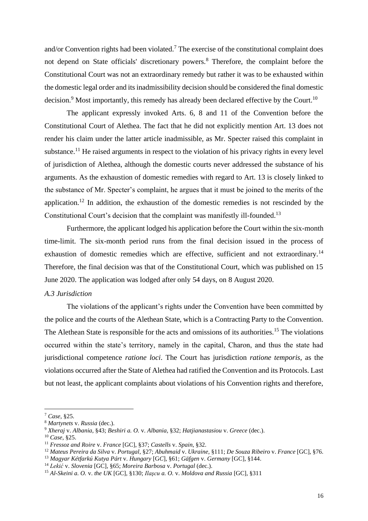and/or Convention rights had been violated.<sup>7</sup> The exercise of the constitutional complaint does not depend on State officials' discretionary powers.<sup>8</sup> Therefore, the complaint before the Constitutional Court was not an extraordinary remedy but rather it was to be exhausted within the domestic legal order and its inadmissibility decision should be considered the final domestic decision.<sup>9</sup> Most importantly, this remedy has already been declared effective by the Court.<sup>10</sup>

The applicant expressly invoked Arts. 6, 8 and 11 of the Convention before the Constitutional Court of Alethea. The fact that he did not explicitly mention Art. 13 does not render his claim under the latter article inadmissible, as Mr. Specter raised this complaint in substance.<sup>11</sup> He raised arguments in respect to the violation of his privacy rights in every level of jurisdiction of Alethea, although the domestic courts never addressed the substance of his arguments. As the exhaustion of domestic remedies with regard to Art. 13 is closely linked to the substance of Mr. Specter's complaint, he argues that it must be joined to the merits of the application.<sup>12</sup> In addition, the exhaustion of the domestic remedies is not rescinded by the Constitutional Court's decision that the complaint was manifestly ill-founded.<sup>13</sup>

Furthermore, the applicant lodged his application before the Court within the six-month time-limit. The six-month period runs from the final decision issued in the process of exhaustion of domestic remedies which are effective, sufficient and not extraordinary.<sup>14</sup> Therefore, the final decision was that of the Constitutional Court, which was published on 15 June 2020. The application was lodged after only 54 days, on 8 August 2020.

#### <span id="page-15-0"></span>*A.3 Jurisdiction*

The violations of the applicant's rights under the Convention have been committed by the police and the courts of the Alethean State, which is a Contracting Party to the Convention. The Alethean State is responsible for the acts and omissions of its authorities.<sup>15</sup> The violations occurred within the state's territory, namely in the capital, Charon, and thus the state had jurisdictional competence *ratione loci*. The Court has jurisdiction *ratione temporis*, as the violations occurred after the State of Alethea had ratified the Convention and its Protocols. Last but not least, the applicant complaints about violations of his Convention rights and therefore,

<sup>7</sup> *Case*, §25.

<sup>8</sup> *Martynets* v. *Russia* (dec.).

<sup>9</sup> *Xheraj* v. *Albania*, §43; *Beshiri a. O.* v. *Albania*, §32; *Hatjianastasiou* v. *Greece* (dec.).

<sup>10</sup> *Case*, §25.

<sup>11</sup> *Fressoz and Roire* v. *France* [GC], §37; *Castells* v. *Spain*, §32.

<sup>12</sup> *Mateus Pereira da Silva* v. *Portugal*, §27; *Abuhmaid* v. *Ukraine*, §111; *De Souza Ribeiro* v. *France* [GC], §76.

<sup>13</sup> *Magyar Kétfarkú Kutya Párt* v. *Hungary* [G*C*], §61; *Gäfgen* v. *Germany* [GC], §144.

<sup>14</sup> *Lekić* v. *Slovenia* [GC], §65; *Moreira Barbosa* v. *Portugal* (dec.).

<sup>15</sup> *Al-Skeini a. O.* v. *the UK* [GC], §130; *Ilaşcu a. O.* v. *Moldova and Russia* [GC], §311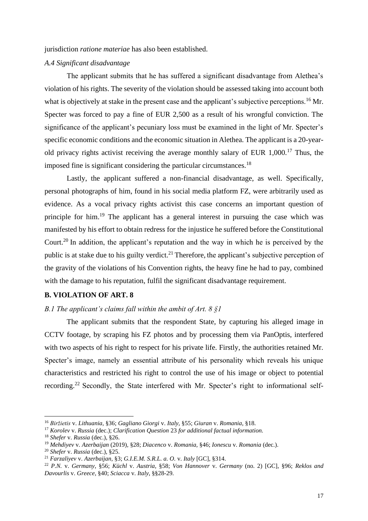jurisdiction *ratione materiae* has also been established.

#### <span id="page-16-0"></span>*A.4 Significant disadvantage*

The applicant submits that he has suffered a significant disadvantage from Alethea's violation of his rights. The severity of the violation should be assessed taking into account both what is objectively at stake in the present case and the applicant's subjective perceptions.<sup>16</sup> Mr. Specter was forced to pay a fine of EUR 2,500 as a result of his wrongful conviction. The significance of the applicant's pecuniary loss must be examined in the light of Mr. Specter's specific economic conditions and the economic situation in Alethea. The applicant is a 20-yearold privacy rights activist receiving the average monthly salary of EUR  $1,000$ .<sup>17</sup> Thus, the imposed fine is significant considering the particular circumstances.<sup>18</sup>

Lastly, the applicant suffered a non-financial disadvantage, as well. Specifically, personal photographs of him, found in his social media platform FZ, were arbitrarily used as evidence. As a vocal privacy rights activist this case concerns an important question of principle for him.<sup>19</sup> The applicant has a general interest in pursuing the case which was manifested by his effort to obtain redress for the injustice he suffered before the Constitutional Court.<sup>20</sup> In addition, the applicant's reputation and the way in which he is perceived by the public is at stake due to his guilty verdict.<sup>21</sup> Therefore, the applicant's subjective perception of the gravity of the violations of his Convention rights, the heavy fine he had to pay, combined with the damage to his reputation, fulfil the significant disadvantage requirement.

# <span id="page-16-1"></span>**B. VIOLATION OF ART. 8**

# <span id="page-16-2"></span>*B.1 The applicant's claims fall within the ambit of Art. 8 §1*

The applicant submits that the respondent State, by capturing his alleged image in CCTV footage, by scraping his FZ photos and by processing them via PanOptis, interfered with two aspects of his right to respect for his private life. Firstly, the authorities retained Mr. Specter's image, namely an essential attribute of his personality which reveals his unique characteristics and restricted his right to control the use of his image or object to potential recording.<sup>22</sup> Secondly, the State interfered with Mr. Specter's right to informational self-

<sup>16</sup> *Biržietis* v. *Lithuania,* §36; *Gagliano Giorgi* v. *Italy,* §55; *Giuran* v. *Romania*, §18.

<sup>17</sup> *Korolev* v. *Russia* (dec.); *Clarification Question* 23 *for additional factual information.*

<sup>18</sup> *Shefer* v. *Russia* (dec.), §26.

<sup>19</sup> *Mehdiyev* v*. Azerbaijan* (2019)*,* §28; *Diacenco* v. *Romania,* §46; *Ionescu* v. *Romania* (dec.).

<sup>20</sup> *Shefer* v. *Russia* (dec.), §25.

<sup>21</sup> *Farzaliyev* v. *Azerbaijan,* §3; *G.I.E.M. S.R.L. a. O.* v. *Italy* [GC], §314.

<sup>22</sup> *P.N.* v. *Germany*, §56; *Küchl* v. *Austria,* §58; *Von Hannover* v. *Germany* (no. 2) [GC], §96; *Reklos and Davourlis* v. *Greece*, §40; *Sciacca* v. *Italy*, §§28-29.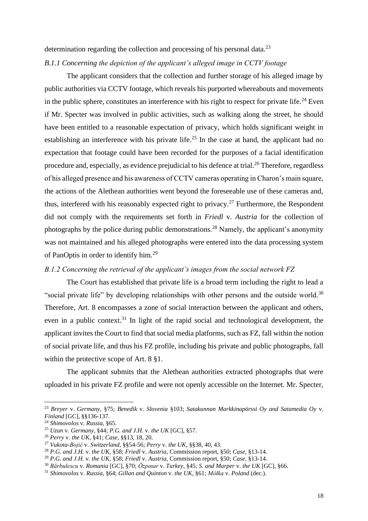determination regarding the collection and processing of his personal data.<sup>23</sup>

# <span id="page-17-0"></span>*B.1.1 Concerning the depiction of the applicant's alleged image in CCTV footage*

The applicant considers that the collection and further storage of his alleged image by public authorities via CCTV footage, which reveals his purported whereabouts and movements in the public sphere, constitutes an interference with his right to respect for private life.<sup>24</sup> Even if Mr. Specter was involved in public activities, such as walking along the street, he should have been entitled to a reasonable expectation of privacy, which holds significant weight in establishing an interference with his private life.<sup>25</sup> In the case at hand, the applicant had no expectation that footage could have been recorded for the purposes of a facial identification procedure and, especially, as evidence prejudicial to his defence at trial.<sup>26</sup> Therefore, regardless of his alleged presence and his awareness of CCTV cameras operating in Charon's main square, the actions of the Alethean authorities went beyond the foreseeable use of these cameras and, thus, interfered with his reasonably expected right to privacy.<sup>27</sup> Furthermore, the Respondent did not comply with the requirements set forth in *Friedl* v. *Austria* for the collection of photographs by the police during public demonstrations.<sup>28</sup> Namely, the applicant's anonymity was not maintained and his alleged photographs were entered into the data processing system of PanOptis in order to identify him*.* 29

# <span id="page-17-1"></span>*B.1.2 Concerning the retrieval of the applicant's images from the social network FZ*

The Court has established that private life is a broad term including the right to lead a "social private life" by developing relationships with other persons and the outside world.<sup>30</sup> Therefore, Art. 8 encompasses a zone of social interaction between the applicant and others, even in a public context.<sup>31</sup> In light of the rapid social and technological development, the applicant invites the Court to find that social media platforms, such as FZ, fall within the notion of social private life, and thus his FZ profile, including his private and public photographs, fall within the protective scope of Art. 8  $\S1$ .

The applicant submits that the Alethean authorities extracted photographs that were uploaded in his private FZ profile and were not openly accessible on the Internet. Mr. Specter,

<sup>23</sup> *Breyer* v. *Germany*, §75; *Benedik* v. *Slovenia* §103; *Satakunnan Markkinapörssi Oy and Satamedia Oy* v. *Finland* [GC], §§136-137.

<sup>24</sup> *Shimovolos* v. *Russia,* §65.

<sup>25</sup> *Uzun* v. *Germany*, §44; *P.G. and J.H.* v. *the UK* [GC], §57.

<sup>26</sup> *Perry* v. *the UK,* §41; *Case*, §§13, 18, 20.

<sup>27</sup> *Vukota-Bojić* v. *Switzerland*, §§54-56; *Perry* v. *the UK,* §§38, 40, 43.

<sup>28</sup> *P.G. and J.H.* v. *the UK,* §58; *Friedl* v. *Austria,* Commission report, §50; *Case,* §13-14.

<sup>29</sup> *P.G. and J.H.* v. *the UK,* §58; *Friedl* v. *Austria,* Commission report, §50; *Case*, §13-14.

<sup>30</sup> *Bărbulescu* v. *Romania* [GC], §70; *Özpınar* v. *Turkey,* §45; *S. and Marper* v. *the UK* [GC]*,* §66.

<sup>31</sup> *Shimovolos* v. *Russia*, §64; *Gillan and Quinton* v. *the UK*, §61; *Mółka* v. *Poland* (dec.).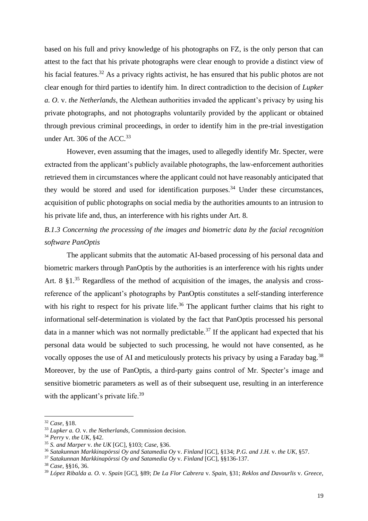based on his full and privy knowledge of his photographs on FZ, is the only person that can attest to the fact that his private photographs were clear enough to provide a distinct view of his facial features.<sup>32</sup> As a privacy rights activist, he has ensured that his public photos are not clear enough for third parties to identify him. In direct contradiction to the decision of *Lupker a. O.* v. *the Netherlands*, the Alethean authorities invaded the applicant's privacy by using his private photographs, and not photographs voluntarily provided by the applicant or obtained through previous criminal proceedings, in order to identify him in the pre-trial investigation under Art. 306 of the ACC.<sup>33</sup>

However, even assuming that the images, used to allegedly identify Mr. Specter, were extracted from the applicant's publicly available photographs, the law-enforcement authorities retrieved them in circumstances where the applicant could not have reasonably anticipated that they would be stored and used for identification purposes.<sup>34</sup> Under these circumstances, acquisition of public photographs on social media by the authorities amounts to an intrusion to his private life and, thus, an interference with his rights under Art. 8.

<span id="page-18-0"></span>*B.1.3 Concerning the processing of the images and biometric data by the facial recognition software PanOptis*

The applicant submits that the automatic AI-based processing of his personal data and biometric markers through PanOptis by the authorities is an interference with his rights under Art. 8  $$1<sup>35</sup>$  Regardless of the method of acquisition of the images, the analysis and crossreference of the applicant's photographs by PanOptis constitutes a self-standing interference with his right to respect for his private life.<sup>36</sup> The applicant further claims that his right to informational self-determination is violated by the fact that PanOptis processed his personal data in a manner which was not normally predictable.<sup>37</sup> If the applicant had expected that his personal data would be subjected to such processing, he would not have consented, as he vocally opposes the use of AI and meticulously protects his privacy by using a Faraday bag.<sup>38</sup> Moreover, by the use of PanOptis, a third-party gains control of Mr. Specter's image and sensitive biometric parameters as well as of their subsequent use, resulting in an interference with the applicant's private life.<sup>39</sup>

<sup>37</sup> *Satakunnan Markkinapörssi Oy and Satamedia Oy* v. *Finland* [GC], §§136-137.

<sup>32</sup> *Case,* §18.

<sup>33</sup> *Lupker a. O.* v. *the Netherlands,* Commission decision.

<sup>34</sup> *Perry* v. *the UK,* §42.

<sup>35</sup> *S. and Marper* v. *the UK* [GC], §103; *Case,* §36.

<sup>36</sup> *Satakunnan Markkinapörssi Oy and Satamedia Oy* v. *Finland* [GC], §134; *P.G. and J.H.* v. *the UK,* §57.

<sup>38</sup> *Case,* §§16, 36.

<sup>39</sup> *López Ribalda a. O.* v. *Spain* [GC], §89; *De La Flor Cabrera* v. *Spain*, §31; *Reklos and Davourlis* v. *Greece*,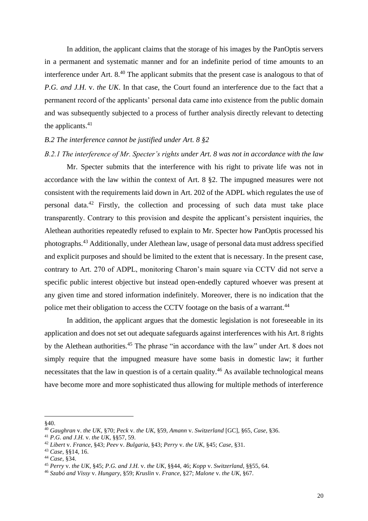In addition, the applicant claims that the storage of his images by the PanOptis servers in a permanent and systematic manner and for an indefinite period of time amounts to an interference under Art. 8.<sup>40</sup> The applicant submits that the present case is analogous to that of *P.G. and J.H.* v. *the UK*. In that case, the Court found an interference due to the fact that a permanent record of the applicants' personal data came into existence from the public domain and was subsequently subjected to a process of further analysis directly relevant to detecting the applicants. $41$ 

#### <span id="page-19-0"></span>*B.2 The interference cannot be justified under Art. 8 §2*

<span id="page-19-1"></span>*B.2.1 The interference of Mr. Specter's rights under Art. 8 was not in accordance with the law*

Mr. Specter submits that the interference with his right to private life was not in accordance with the law within the context of Art. 8 §2. The impugned measures were not consistent with the requirements laid down in Art. 202 of the ADPL which regulates the use of personal data.<sup>42</sup> Firstly, the collection and processing of such data must take place transparently. Contrary to this provision and despite the applicant's persistent inquiries, the Alethean authorities repeatedly refused to explain to Mr. Specter how PanOptis processed his photographs.<sup>43</sup> Additionally, under Alethean law, usage of personal data must address specified and explicit purposes and should be limited to the extent that is necessary. In the present case, contrary to Art. 270 of ADPL, monitoring Charon's main square via CCTV did not serve a specific public interest objective but instead open-endedly captured whoever was present at any given time and stored information indefinitely. Moreover, there is no indication that the police met their obligation to access the CCTV footage on the basis of a warrant.<sup>44</sup>

In addition, the applicant argues that the domestic legislation is not foreseeable in its application and does not set out adequate safeguards against interferences with his Art. 8 rights by the Alethean authorities.<sup>45</sup> The phrase "in accordance with the law" under Art. 8 does not simply require that the impugned measure have some basis in domestic law; it further necessitates that the law in question is of a certain quality.<sup>46</sup> As available technological means have become more and more sophisticated thus allowing for multiple methods of interference

<sup>§40.</sup>

<sup>40</sup> *Gaughran* v. *the UK,* §70; *Peck* v. *the UK,* §59, *Amann* v. *Switzerland* [GC], §65, *Case,* §36.

<sup>41</sup> *P.G. and J.H.* v. *the UK,* §§57, 59.

<sup>42</sup> *Libert* v. *France*, §43; *Peev* v. *Bulgaria*, §43; *Perry* v. *the UK*, §45; *Case*, §31.

<sup>43</sup> *Case*, §§14, 16.

<sup>44</sup> *Case,* §34.

<sup>45</sup> *Perry* v. *the UK,* §45; *P.G. and J.H.* v. *the UK*, §§44, 46; *Kopp* v. *Switzerland*, §§55, 64.

<sup>46</sup> *Szabó and Vissy* v. *Hungary*, §59; *Kruslin* v. *France*, §27; *Malone* v. *the UK,* §67.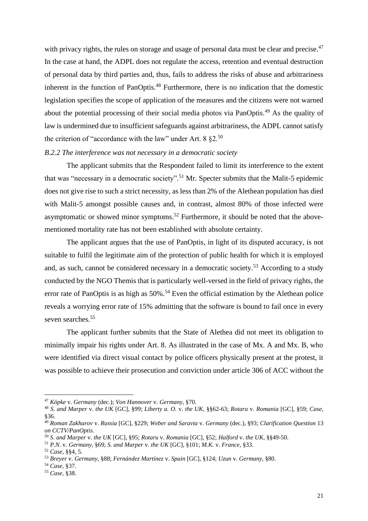with privacy rights, the rules on storage and usage of personal data must be clear and precise.<sup>47</sup> In the case at hand, the ADPL does not regulate the access, retention and eventual destruction of personal data by third parties and, thus, fails to address the risks of abuse and arbitrariness inherent in the function of PanOptis.<sup>48</sup> Furthermore, there is no indication that the domestic legislation specifies the scope of application of the measures and the citizens were not warned about the potential processing of their social media photos via PanOptis.<sup>49</sup> As the quality of law is undermined due to insufficient safeguards against arbitrariness, the ADPL cannot satisfy the criterion of "accordance with the law" under Art.  $8 \text{ } \$2.50$ 

# <span id="page-20-0"></span>*B.2.2 The interference was not necessary in a democratic society*

The applicant submits that the Respondent failed to limit its interference to the extent that was "necessary in a democratic society".<sup>51</sup> Mr. Specter submits that the Malit-5 epidemic does not give rise to such a strict necessity, as less than 2% of the Alethean population has died with Malit-5 amongst possible causes and, in contrast, almost 80% of those infected were asymptomatic or showed minor symptoms.<sup>52</sup> Furthermore, it should be noted that the abovementioned mortality rate has not been established with absolute certainty.

The applicant argues that the use of PanOptis, in light of its disputed accuracy, is not suitable to fulfil the legitimate aim of the protection of public health for which it is employed and, as such, cannot be considered necessary in a democratic society.<sup>53</sup> According to a study conducted by the NGO Themis that is particularly well-versed in the field of privacy rights, the error rate of PanOptis is as high as  $50\%$ .<sup>54</sup> Even the official estimation by the Alethean police reveals a worrying error rate of 15% admitting that the software is bound to fail once in every seven searches.<sup>55</sup>

The applicant further submits that the State of Alethea did not meet its obligation to minimally impair his rights under Art. 8. As illustrated in the case of Mx. A and Mx. B, who were identified via direct visual contact by police officers physically present at the protest, it was possible to achieve their prosecution and conviction under article 306 of ACC without the

<sup>47</sup> *Köpke* v. *Germany* (dec.); *Von Hannover* v. *Germany*, §70.

<sup>48</sup> *S. and Marper* v. *the UK* [GC]*,* §99; *Liberty a. O.* v. *the UK,* §§62-63; *Rotaru* v. *Romania* [GC]*,* §59; *Case,* §36.

<sup>49</sup> *Roman Zakharov* v. *Russia* [GC], §229; *Weber and Saravia* v. *Germany* (dec.), §93; *Clarification Question* 13 *on CCTV/PanOptis.*

<sup>50</sup> *S. and Marper* v. *the UK* [GC]*,* §95; *Rotaru* v. *Romania* [GC], §52; *Halford* v. *the UK,* §§49-50.

<sup>51</sup> *P.N.* v. *Germany*, §69; *S. and Marper* v. *the UK* [GC], §101; *M.K.* v*. France*, §33.

<sup>52</sup> *Case,* §§4, 5.

<sup>53</sup> *Breyer* v. *Germany*, §88; *Fernández Martínez* v. *Spain* [GC], §124; *Uzun* v. *Germany*, §80.

<sup>54</sup> *Case,* §37.

<sup>55</sup> *Case,* §38.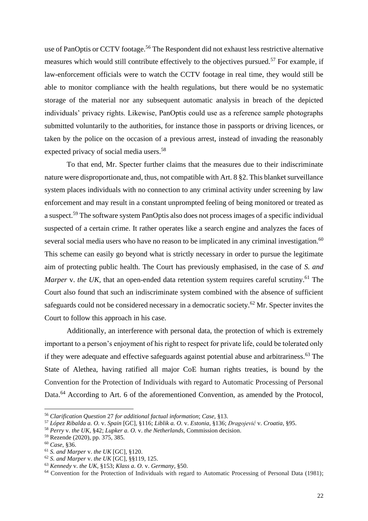use of PanOptis or CCTV footage.<sup>56</sup> The Respondent did not exhaust less restrictive alternative measures which would still contribute effectively to the objectives pursued.<sup>57</sup> For example, if law-enforcement officials were to watch the CCTV footage in real time, they would still be able to monitor compliance with the health regulations, but there would be no systematic storage of the material nor any subsequent automatic analysis in breach of the depicted individuals' privacy rights. Likewise, PanOptis could use as a reference sample photographs submitted voluntarily to the authorities, for instance those in passports or driving licences, or taken by the police on the occasion of a previous arrest, instead of invading the reasonably expected privacy of social media users.<sup>58</sup>

To that end, Mr. Specter further claims that the measures due to their indiscriminate nature were disproportionate and, thus, not compatible with Art. 8 §2. This blanket surveillance system places individuals with no connection to any criminal activity under screening by law enforcement and may result in a constant unprompted feeling of being monitored or treated as a suspect.<sup>59</sup> The software system PanOptis also does not process images of a specific individual suspected of a certain crime. It rather operates like a search engine and analyzes the faces of several social media users who have no reason to be implicated in any criminal investigation.<sup>60</sup> This scheme can easily go beyond what is strictly necessary in order to pursue the legitimate aim of protecting public health. The Court has previously emphasised, in the case of *S. and Marper v. the UK,* that an open-ended data retention system requires careful scrutiny.<sup>61</sup> The Court also found that such an indiscriminate system combined with the absence of sufficient safeguards could not be considered necessary in a democratic society.<sup>62</sup> Mr. Specter invites the Court to follow this approach in his case.

Additionally, an interference with personal data, the protection of which is extremely important to a person's enjoyment of his right to respect for private life, could be tolerated only if they were adequate and effective safeguards against potential abuse and arbitrariness.<sup>63</sup> The State of Alethea, having ratified all major CoE human rights treaties, is bound by the Convention for the Protection of Individuals with regard to Automatic Processing of Personal Data.<sup>64</sup> According to Art. 6 of the aforementioned Convention, as amended by the Protocol,

<sup>56</sup> *Clarification Question* 27 *for additional factual information*; *Case,* §13.

<sup>57</sup> *López Ribalda a. O.* v. *Spain* [GC], §116; *Liblik a. O.* v. *Estonia,* §136; *Dragojević* v. *Croatia,* §95.

<sup>58</sup> *Perry* v. *the UK,* §42; *Lupker a. O.* v. *the Netherlands,* Commission decision.

<sup>59</sup> Rezende (2020)*,* pp. 375, 385.

<sup>60</sup> *Case*, §36.

<sup>61</sup> *S. and Marper* v. *the UK* [GC]*,* §120.

<sup>62</sup> *S. and Marper* v. *the UK* [GC]*,* §§119, 125.

<sup>63</sup> *Kennedy* v. *the UK,* §153; *Klass a. O.* v. *Germany,* §50.

<sup>&</sup>lt;sup>64</sup> Convention for the Protection of Individuals with regard to Automatic Processing of Personal Data (1981);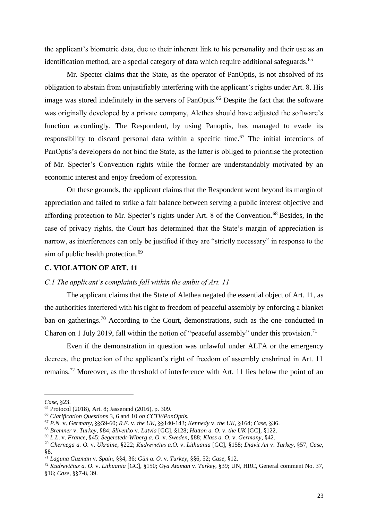the applicant's biometric data, due to their inherent link to his personality and their use as an identification method, are a special category of data which require additional safeguards.<sup>65</sup>

Mr. Specter claims that the State, as the operator of PanOptis, is not absolved of its obligation to abstain from unjustifiably interfering with the applicant's rights under Art. 8. His image was stored indefinitely in the servers of PanOptis.<sup>66</sup> Despite the fact that the software was originally developed by a private company, Alethea should have adjusted the software's function accordingly. The Respondent, by using Panoptis, has managed to evade its responsibility to discard personal data within a specific time.<sup>67</sup> The initial intentions of PanOptis's developers do not bind the State, as the latter is obliged to prioritise the protection of Mr. Specter's Convention rights while the former are understandably motivated by an economic interest and enjoy freedom of expression.

On these grounds, the applicant claims that the Respondent went beyond its margin of appreciation and failed to strike a fair balance between serving a public interest objective and affording protection to Mr. Specter's rights under Art. 8 of the Convention.<sup>68</sup> Besides, in the case of privacy rights, the Court has determined that the State's margin of appreciation is narrow, as interferences can only be justified if they are "strictly necessary" in response to the aim of public health protection.<sup>69</sup>

# <span id="page-22-0"></span>**C. VIOLATION OF ART. 11**

# <span id="page-22-1"></span>*C.1 The applicant's complaints fall within the ambit of Art. 11*

The applicant claims that the State of Alethea negated the essential object of Art. 11, as the authorities interfered with his right to freedom of peaceful assembly by enforcing a blanket ban on gatherings.<sup>70</sup> According to the Court, demonstrations, such as the one conducted in Charon on 1 July 2019, fall within the notion of "peaceful assembly" under this provision.<sup>71</sup>

Even if the demonstration in question was unlawful under ALFA or the emergency decrees, the protection of the applicant's right of freedom of assembly enshrined in Art. 11 remains.<sup>72</sup> Moreover, as the threshold of interference with Art. 11 lies below the point of an

*Case,* §23.

<sup>65</sup> Protocol (2018), Art. 8; Jasserand (2016), p. 309.

<sup>66</sup> *Clarification Questions* 3, 6 and 10 *on CCTV/PanOptis.*

<sup>67</sup> *P.N.* v. *Germany*, §§59-60; *R.E.* v. *the UK,* §§140-143; *Kennedy* v. *the UK*, §164; *Case*, §36.

<sup>68</sup> *Bremner* v. *Turkey,* §84; *Slivenko* v. *Latvia* [GC]*,* §128; *Hatton a. O.* v. *the UK* [GC]*,* §122.

<sup>69</sup> *L.L*. v. *France*, §45; *Segerstedt-Wiberg a. O.* v. *Sweden*, §88; *Klass a. O.* v. *Germany*, §42.

<sup>70</sup> *Chernega a. O.* v. *Ukraine*, §222; *Kudrevičius a.O.* v. *Lithuania* [GC], §158; *Djavit An* v. *Turkey*, §57, *Case,*  §8.

<sup>71</sup> *Laguna Guzman* v. *Spain,* §§4, 36; *Gün a. O.* v. *Turkey*, §§6, 52; *Case*, §12.

<sup>72</sup> *Kudrevičius a. O.* v. *Lithuania* [GC], §150; *Oya Ataman* v. *Turkey,* §39; UN, HRC, General comment No. 37, §16; *Case,* §§7-8, 39.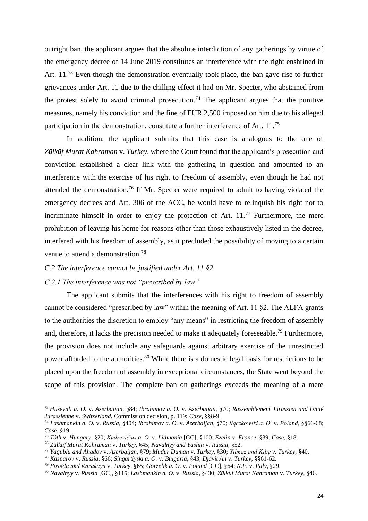outright ban, the applicant argues that the absolute interdiction of any gatherings by virtue of the emergency decree of 14 June 2019 constitutes an interference with the right enshrined in Art. 11.<sup>73</sup> Even though the demonstration eventually took place, the ban gave rise to further grievances under Art. 11 due to the chilling effect it had on Mr. Specter, who abstained from the protest solely to avoid criminal prosecution.<sup>74</sup> The applicant argues that the punitive measures, namely his conviction and the fine of EUR 2,500 imposed on him due to his alleged participation in the demonstration, constitute a further interference of Art. 11.<sup>75</sup>

In addition, the applicant submits that this case is analogous to the one of *Zülküf Murat Kahraman* v. *Turkey,* where the Court found that the applicant's prosecution and conviction established a clear link with the gathering in question and amounted to an interference with the exercise of his right to freedom of assembly, even though he had not attended the demonstration.<sup>76</sup> If Mr. Specter were required to admit to having violated the emergency decrees and Art. 306 of the ACC, he would have to relinquish his right not to incriminate himself in order to enjoy the protection of Art.  $11<sup>77</sup>$  Furthermore, the mere prohibition of leaving his home for reasons other than those exhaustively listed in the decree, interfered with his freedom of assembly, as it precluded the possibility of moving to a certain venue to attend a demonstration.<sup>78</sup>

# <span id="page-23-0"></span>*C.2 The interference cannot be justified under Art. 11 §2*

### <span id="page-23-1"></span>*C.2.1 The interference was not "prescribed by law"*

The applicant submits that the interferences with his right to freedom of assembly cannot be considered "prescribed by law" within the meaning of Art. 11 §2. The ALFA grants to the authorities the discretion to employ "any means" in restricting the freedom of assembly and, therefore, it lacks the precision needed to make it adequately foreseeable.<sup>79</sup> Furthermore, the provision does not include any safeguards against arbitrary exercise of the unrestricted power afforded to the authorities.<sup>80</sup> While there is a domestic legal basis for restrictions to be placed upon the freedom of assembly in exceptional circumstances, the State went beyond the scope of this provision. The complete ban on gatherings exceeds the meaning of a mere

<sup>73</sup> *Huseynli a. O.* v. *Azerbaijan*, §84; *Ibrahimov a. O.* v. *Azerbaijan*, §70; *Rassemblement Jurassien and Unité Jurassienne* v. *Switzerland*, Commission decision, p. 119; *Case,* §§8-9.

<sup>74</sup> *Lashmankin a. O.* v. *Russia*, §404; *Ibrahimov a. O.* v. *Azerbaijan*, §70; *Bączkowski a. O.* v. *Poland*, §§66-68; *Case*, §19.

<sup>75</sup> *Tóth* v. *Hungary*, §20; *Kudrevičius a. O.* v. *Lithuania* [GC], §100; *Ezelin* v. *France*, §39; *Case,* §18.

<sup>76</sup> *Zülküf Murat Kahraman* v. *Turkey,* §45; *Navalnyy and Yashin* v. *Russia*, §52.

<sup>77</sup> *Yagublu and Ahadov* v. *Azerbaijan*, §79; *Müdür Duman* v. *Turkey*, §30; *Yılmaz and Kılıç v. Turkey,* §40.

<sup>78</sup> *Kasparov* v. *Russia*, §66; *Singartiyski a. O.* v. *Bulgaria*, §43; *Djavit An* v. *Turkey*, §§61-62.

<sup>79</sup> *Piroğlu and Karakaya* v. *Turkey*, §65; *Gorzelik a. O.* v. *Poland* [GC], §64; *N.F.* v. *Italy*, §29.

<sup>80</sup> *Navalnyy* v. *Russia* [GC], §115; *Lashmankin a. O.* v. *Russia*, §430; *Zülküf Murat Kahraman* v. *Turkey,* §46.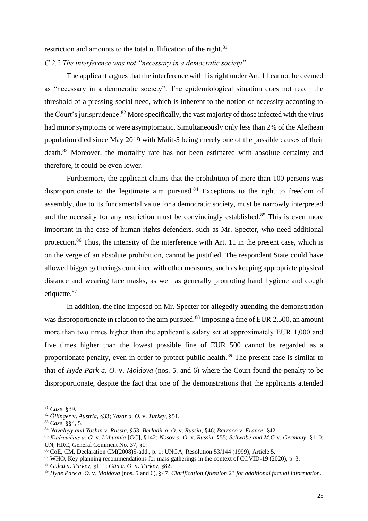restriction and amounts to the total nullification of the right.<sup>81</sup>

<span id="page-24-0"></span>*C.2.2 The interference was not "necessary in a democratic society"*

The applicant argues that the interference with his right under Art. 11 cannot be deemed as "necessary in a democratic society". The epidemiological situation does not reach the threshold of a pressing social need, which is inherent to the notion of necessity according to the Court's jurisprudence.<sup>82</sup> More specifically, the vast majority of those infected with the virus had minor symptoms or were asymptomatic. Simultaneously only less than 2% of the Alethean population died since May 2019 with Malit-5 being merely one of the possible causes of their death.<sup>83</sup> Moreover, the mortality rate has not been estimated with absolute certainty and therefore, it could be even lower.

Furthermore, the applicant claims that the prohibition of more than 100 persons was disproportionate to the legitimate aim pursued. $84$  Exceptions to the right to freedom of assembly, due to its fundamental value for a democratic society, must be narrowly interpreted and the necessity for any restriction must be convincingly established.<sup>85</sup> This is even more important in the case of human rights defenders, such as Mr. Specter, who need additional protection.<sup>86</sup> Thus, the intensity of the interference with Art. 11 in the present case, which is on the verge of an absolute prohibition, cannot be justified. The respondent State could have allowed bigger gatherings combined with other measures, such as keeping appropriate physical distance and wearing face masks, as well as generally promoting hand hygiene and cough etiquette.<sup>87</sup>

In addition, the fine imposed on Mr. Specter for allegedly attending the demonstration was disproportionate in relation to the aim pursued.<sup>88</sup> Imposing a fine of EUR 2,500, an amount more than two times higher than the applicant's salary set at approximately EUR 1,000 and five times higher than the lowest possible fine of EUR 500 cannot be regarded as a proportionate penalty, even in order to protect public health.<sup>89</sup> The present case is similar to that of *Hyde Park a. O.* v. *Moldova* (nos. 5. and 6) where the Court found the penalty to be disproportionate, despite the fact that one of the demonstrations that the applicants attended

<sup>81</sup> *Case,* §39.

<sup>82</sup> *Öllinger* v. *Austria,* §33; *Yazar a. O.* v. *Turkey,* §51.

<sup>83</sup> *Case,* §§4, 5.

<sup>84</sup> *Navalnyy and Yashin* v. *Russia,* §53; *Berladir a. O.* v. *Russia,* §46; *Barraco* v. *France,* §42.

<sup>85</sup> *Kudrevičius a. O.* v. *Lithuania* [GC], §142; *Nosov a. O.* v. *Russia,* §55; *Schwabe and M.G* v. *Germany,* §110; UN, HRC, General Comment No. 37, §1.

<sup>86</sup> CoE, CM, Declaration CM(2008)5-add., p. 1; UNGA, Resolution 53/144 (1999), Article 5.

<sup>87</sup> WHO, Key planning recommendations for mass gatherings in the context of COVID-19 (2020)*,* p. 3.

<sup>88</sup> *Gülcü* v. *Turkey,* §111; *Gün a. O.* v. *Turkey,* §82.

<sup>89</sup> *Hyde Park a. O.* v. *Moldova* (nos. 5 and 6), §47; *Clarification Question* 23 *for additional factual information.*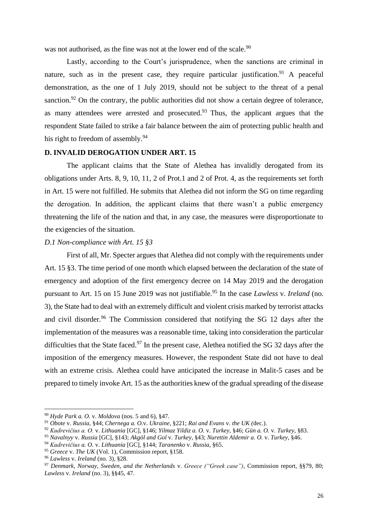was not authorised, as the fine was not at the lower end of the scale.<sup>90</sup>

Lastly, according to the Court's jurisprudence, when the sanctions are criminal in nature, such as in the present case, they require particular justification.<sup>91</sup> A peaceful demonstration, as the one of 1 July 2019, should not be subject to the threat of a penal sanction.<sup>92</sup> On the contrary, the public authorities did not show a certain degree of tolerance, as many attendees were arrested and prosecuted.<sup>93</sup> Thus, the applicant argues that the respondent State failed to strike a fair balance between the aim of protecting public health and his right to freedom of assembly. $94$ 

# <span id="page-25-0"></span>**D. INVALID DEROGATION UNDER ART. 15**

The applicant claims that the State of Alethea has invalidly derogated from its obligations under Arts. 8, 9, 10, 11, 2 of Prot.1 and 2 of Prot. 4, as the requirements set forth in Art. 15 were not fulfilled. He submits that Alethea did not inform the SG on time regarding the derogation. In addition, the applicant claims that there wasn't a public emergency threatening the life of the nation and that, in any case, the measures were disproportionate to the exigencies of the situation.

#### <span id="page-25-1"></span>*D.1 Non-compliance with Art. 15 §3*

First of all, Mr. Specter argues that Alethea did not comply with the requirements under Art. 15 §3. The time period of one month which elapsed between the declaration of the state of emergency and adoption of the first emergency decree on 14 May 2019 and the derogation pursuant to Art. 15 on 15 June 2019 was not justifiable.<sup>95</sup> In the case *Lawless* v. *Ireland* (no. 3)*,* the State had to deal with an extremely difficult and violent crisis marked by terrorist attacks and civil disorder.<sup>96</sup> The Commission considered that notifying the SG 12 days after the implementation of the measures was a reasonable time, taking into consideration the particular difficulties that the State faced.<sup>97</sup> In the present case, Alethea notified the SG 32 days after the imposition of the emergency measures. However, the respondent State did not have to deal with an extreme crisis. Alethea could have anticipated the increase in Malit-5 cases and be prepared to timely invoke Art. 15 as the authorities knew of the gradual spreading of the disease

<sup>90</sup> *Hyde Park a. O.* v. *Moldova* (nos. 5 and 6), §47.

<sup>91</sup> *Obote* v. *Russia,* §44; *Chernega a. O.*v. *Ukraine,* §221; *Rai and Evans* v. *the UK (*dec.).

<sup>92</sup> *Kudrevičius a. O.* v. *Lithuania* [GC], §146; *Yilmaz Yildiz a. O.* v. *Turkey,* §46; *Gün a. O.* v. *Turkey,* §83.

<sup>93</sup> *Navalnyy* v. *Russia* [GC], §143; *Akgöl and Gol* v. *Turkey,* §43; *Nurettin Aldemir a. O.* v. *Turkey,* §46.

<sup>94</sup> *Kudrevičius a. O.* v. *Lithuania* [GC], §144; *Taranenko* v. *Russia*, §65.

<sup>95</sup> *Greece* v. *The UK* (Vol. 1), Commission report, §158.

<sup>96</sup> *Lawless* v. *Ireland* (no. 3), §28.

<sup>97</sup> *Denmark, Norway, Sweden, and the Netherlands* v. *Greece ("Greek case")*, Commission report, §§79, 80; *Lawless* v. *Ireland* (no. 3), §§45, 47.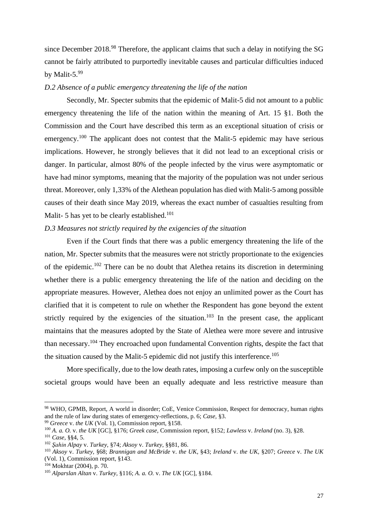since December 2018.<sup>98</sup> Therefore, the applicant claims that such a delay in notifying the SG cannot be fairly attributed to purportedly inevitable causes and particular difficulties induced by Malit-5.99

# <span id="page-26-0"></span>*D.2 Absence of a public emergency threatening the life of the nation*

Secondly, Mr. Specter submits that the epidemic of Malit-5 did not amount to a public emergency threatening the life of the nation within the meaning of Art. 15 §1. Both the Commission and the Court have described this term as an exceptional situation of crisis or emergency.<sup>100</sup> The applicant does not contest that the Malit-5 epidemic may have serious implications. However, he strongly believes that it did not lead to an exceptional crisis or danger. In particular, almost 80% of the people infected by the virus were asymptomatic or have had minor symptoms, meaning that the majority of the population was not under serious threat. Moreover, only 1,33% of the Alethean population has died with Malit-5 among possible causes of their death since May 2019, whereas the exact number of casualties resulting from Malit- 5 has yet to be clearly established.<sup>101</sup>

# <span id="page-26-1"></span>*D.3 Measures not strictly required by the exigencies of the situation*

Even if the Court finds that there was a public emergency threatening the life of the nation, Mr. Specter submits that the measures were not strictly proportionate to the exigencies of the epidemic.<sup>102</sup> There can be no doubt that Alethea retains its discretion in determining whether there is a public emergency threatening the life of the nation and deciding on the appropriate measures. However, Alethea does not enjoy an unlimited power as the Court has clarified that it is competent to rule on whether the Respondent has gone beyond the extent strictly required by the exigencies of the situation.<sup>103</sup> In the present case, the applicant maintains that the measures adopted by the State of Alethea were more severe and intrusive than necessary.<sup>104</sup> They encroached upon fundamental Convention rights, despite the fact that the situation caused by the Malit-5 epidemic did not justify this interference.<sup>105</sup>

More specifically, due to the low death rates, imposing a curfew only on the susceptible societal groups would have been an equally adequate and less restrictive measure than

<sup>99</sup> *Greece* v. *the UK* (Vol. 1)*,* Commission report, §158.

<sup>98</sup> WHO, GPMB, Report, A world in disorder; CoE, Venice Commission, Respect for democracy, human rights and the rule of law during states of emergency-reflections, p. 6; *Case,* §3.

<sup>100</sup> *A. a. O.* v. *the UK* [GC]*,* §176; *Greek case,* Commission report*,* §152; *Lawless* v. *Ireland* (no. 3)*,* §28.

<sup>101</sup> *Case*, §§4, 5.

<sup>102</sup> *Şahin Alpay* v. *Turkey,* §74; *Aksoy* v. *Turkey*, §§81, 86.

<sup>103</sup> *Aksoy* v. *Turkey,* §68; *Brannigan and McBride* v. *the UK*, §43; *Ireland* v. *the UK,* §207; *Greece* v. *The UK* (Vol. 1), Commission report*,* §143.

 $104$  Mokhtar (2004), p. 70.

<sup>105</sup> *Alparslan Altan* v. *Turkey,* §116; *A. a. O.* v. *The UK* [GC], §184.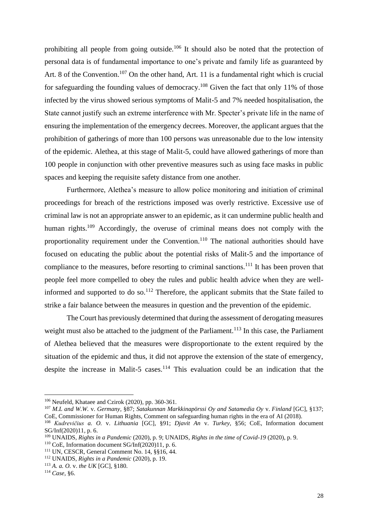prohibiting all people from going outside.<sup>106</sup> It should also be noted that the protection of personal data is of fundamental importance to one's private and family life as guaranteed by Art. 8 of the Convention.<sup>107</sup> On the other hand, Art. 11 is a fundamental right which is crucial for safeguarding the founding values of democracy.<sup>108</sup> Given the fact that only 11% of those infected by the virus showed serious symptoms of Malit-5 and 7% needed hospitalisation, the State cannot justify such an extreme interference with Mr. Specter's private life in the name of ensuring the implementation of the emergency decrees. Moreover, the applicant argues that the prohibition of gatherings of more than 100 persons was unreasonable due to the low intensity of the epidemic. Alethea, at this stage of Malit-5, could have allowed gatherings of more than 100 people in conjunction with other preventive measures such as using face masks in public spaces and keeping the requisite safety distance from one another.

Furthermore, Alethea's measure to allow police monitoring and initiation of criminal proceedings for breach of the restrictions imposed was overly restrictive. Excessive use of criminal law is not an appropriate answer to an epidemic, as it can undermine public health and human rights.<sup>109</sup> Accordingly, the overuse of criminal means does not comply with the proportionality requirement under the Convention.<sup>110</sup> The national authorities should have focused on educating the public about the potential risks of Malit-5 and the importance of compliance to the measures, before resorting to criminal sanctions.<sup>111</sup> It has been proven that people feel more compelled to obey the rules and public health advice when they are wellinformed and supported to do so.<sup>112</sup> Therefore, the applicant submits that the State failed to strike a fair balance between the measures in question and the prevention of the epidemic.

The Court has previously determined that during the assessment of derogating measures weight must also be attached to the judgment of the Parliament.<sup>113</sup> In this case, the Parliament of Alethea believed that the measures were disproportionate to the extent required by the situation of the epidemic and thus, it did not approve the extension of the state of emergency, despite the increase in Malit-5 cases.<sup>114</sup> This evaluation could be an indication that the

<sup>106</sup> Neufeld, Khataee and Czirok (2020)*,* pp. 360-361.

<sup>107</sup> *M.L and W.W.* v. *Germany,* §87; *Satakunnan Markkinapörssi Oy and Satamedia Oy* v. *Finland* [GC], §137; CoE, Commissioner for Human Rights, Comment on safeguarding human rights in the era of AI (2018).

<sup>108</sup> *Kudrevičius a. O.* v. *Lithuania* [GC]*,* §91; *Djavit An* v. *Turkey,* §56; CoE, Information document SG/Inf(2020)11*,* p. 6.

<sup>109</sup> UNAIDS, *Rights in a Pandemic* (2020), p. 9; UNAIDS, *Rights in the time of Covid-19* (2020), p. 9.

<sup>110</sup> CoE, Information document SG/Inf(2020)11, p. 6.

<sup>111</sup> UN, CESCR, General Comment No. 14, §§16, 44.

<sup>112</sup> UNAIDS, *Rights in a Pandemic* (2020), p. 19.

<sup>113</sup> *A. a. O.* v. *the UK* [GC]*,* §180.

<sup>114</sup> *Case,* §6.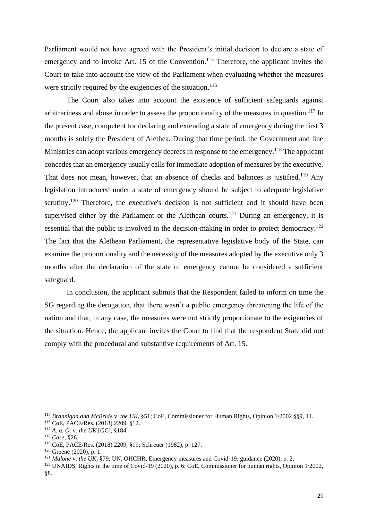Parliament would not have agreed with the President's initial decision to declare a state of emergency and to invoke Art. 15 of the Convention.<sup>115</sup> Therefore, the applicant invites the Court to take into account the view of the Parliament when evaluating whether the measures were strictly required by the exigencies of the situation.<sup>116</sup>

The Court also takes into account the existence of sufficient safeguards against arbitrariness and abuse in order to assess the proportionality of the measures in question.<sup>117</sup> In the present case, competent for declaring and extending a state of emergency during the first 3 months is solely the President of Alethea. During that time period, the Government and line Ministries can adopt various emergency decrees in response to the emergency.<sup>118</sup> The applicant concedes that an emergency usually calls for immediate adoption of measures by the executive. That does not mean, however, that an absence of checks and balances is justified.<sup>119</sup> Any legislation introduced under a state of emergency should be subject to adequate legislative scrutiny.<sup>120</sup> Therefore, the executive's decision is not sufficient and it should have been supervised either by the Parliament or the Alethean courts.<sup>121</sup> During an emergency, it is essential that the public is involved in the decision-making in order to protect democracy.<sup>122</sup> The fact that the Alethean Parliament, the representative legislative body of the State, can examine the proportionality and the necessity of the measures adopted by the executive only 3 months after the declaration of the state of emergency cannot be considered a sufficient

safeguard. In conclusion, the applicant submits that the Respondent failed to inform on time the SG regarding the derogation, that there wasn't a public emergency threatening the life of the

nation and that, in any case, the measures were not strictly proportionate to the exigencies of the situation. Hence, the applicant invites the Court to find that the respondent State did not comply with the procedural and substantive requirements of Art. 15.

<sup>115</sup> *Brannigan and McBride* v. *the UK*, §51; CoE, Commissioner for Human Rights, Opinion 1/2002 §§9, 11. <sup>116</sup> CoE, PACE/Res. (2018) 2209, §12.

<sup>117</sup> *A. a. O.* v. *the UK* [GC], §184.

<sup>118</sup> *Case,* §26.

<sup>119</sup> CoE, PACE/Res. (2018) 2209, §19; Schreuer (1982), p. 127.

<sup>120</sup> Greene (2020), p. 1.

<sup>121</sup> *Malone* v. *the UK*, §79; UN, OHCHR, Emergency measures and Covid-19: guidance (2020), p. 2.

<sup>122</sup> UNAIDS, Rights in the time of Covid-19 (2020), p. 6; CoE, Commissioner for human rights, Opinion 1/2002, §8.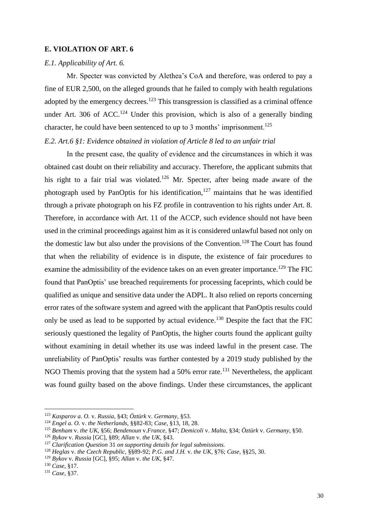#### <span id="page-29-0"></span>**E. VIOLATION OF ART. 6**

#### <span id="page-29-1"></span>*E.1. Applicability of Art. 6.*

Mr. Specter was convicted by Alethea's CoA and therefore, was ordered to pay a fine of EUR 2,500, on the alleged grounds that he failed to comply with health regulations adopted by the emergency decrees.<sup>123</sup> This transgression is classified as a criminal offence under Art. 306 of ACC.<sup>124</sup> Under this provision, which is also of a generally binding character, he could have been sentenced to up to 3 months' imprisonment.<sup>125</sup>

# <span id="page-29-2"></span>*E.2. Art.6 §1: Evidence obtained in violation of Article 8 led to an unfair trial*

In the present case, the quality of evidence and the circumstances in which it was obtained cast doubt on their reliability and accuracy. Therefore, the applicant submits that his right to a fair trial was violated.<sup>126</sup> Mr. Specter, after being made aware of the photograph used by PanOptis for his identification, $127$  maintains that he was identified through a private photograph on his FZ profile in contravention to his rights under Art. 8. Therefore, in accordance with Art. 11 of the ACCP, such evidence should not have been used in the criminal proceedings against him as it is considered unlawful based not only on the domestic law but also under the provisions of the Convention.<sup>128</sup> The Court has found that when the reliability of evidence is in dispute, the existence of fair procedures to examine the admissibility of the evidence takes on an even greater importance.<sup>129</sup> The FIC found that PanOptis' use breached requirements for processing faceprints, which could be qualified as unique and sensitive data under the ADPL. It also relied on reports concerning error rates of the software system and agreed with the applicant that PanOptis results could only be used as lead to be supported by actual evidence.<sup>130</sup> Despite the fact that the FIC seriously questioned the legality of PanOptis, the higher courts found the applicant guilty without examining in detail whether its use was indeed lawful in the present case. The unreliability of PanOptis' results was further contested by a 2019 study published by the NGO Themis proving that the system had a  $50\%$  error rate.<sup>131</sup> Nevertheless, the applicant was found guilty based on the above findings. Under these circumstances, the applicant

<sup>123</sup> *Kasparov a. O.* v. *Russia*, §43; *Öztürk* v. *Germany*, §53.

<sup>124</sup> *Engel a. O.* v. *the Netherlands,* §§82-83; *Case*, §13, 18, 28.

<sup>125</sup> *Benham* v. *the UK*, §56; *Bendenoun* v*.France*, §47; *Demicoli* v. *Malta*, §34; *Öztürk* v. *Germany*, §50.

<sup>126</sup> *Bykov* v. *Russia* [GC], §89; *Allan* v. *the UK*, §43.

<sup>127</sup> *Clarification Question* 31 *on supporting details for legal submissions.*

<sup>128</sup> *Heglas* v. *the Czech Republic*, §§89-92; *P.G. and J.H.* v. *the UK*, §76; *Case,* §§25, 30.

<sup>129</sup> *Bykov* v. *Russia* [GC], §95; *Allan* v. *the UK*, §47.

<sup>130</sup> *Case*, §17.

<sup>131</sup> *Case*, §37.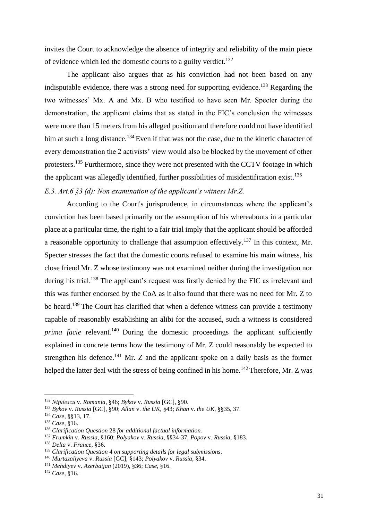invites the Court to acknowledge the absence of integrity and reliability of the main piece of evidence which led the domestic courts to a guilty verdict.<sup>132</sup>

The applicant also argues that as his conviction had not been based on any indisputable evidence, there was a strong need for supporting evidence.<sup>133</sup> Regarding the two witnesses' Mx. A and Mx. B who testified to have seen Mr. Specter during the demonstration, the applicant claims that as stated in the FIC's conclusion the witnesses were more than 15 meters from his alleged position and therefore could not have identified him at such a long distance.<sup>134</sup> Even if that was not the case, due to the kinetic character of every demonstration the 2 activists' view would also be blocked by the movement of other protesters.<sup>135</sup> Furthermore, since they were not presented with the CCTV footage in which the applicant was allegedly identified, further possibilities of misidentification exist.<sup>136</sup> *E.3. Art.6 §3 (d): Non examination of the applicant's witness Mr.Z.*

<span id="page-30-0"></span>According to the Court's jurisprudence, in circumstances where the applicant's conviction has been based primarily on the assumption of his whereabouts in a particular place at a particular time, the right to a fair trial imply that the applicant should be afforded a reasonable opportunity to challenge that assumption effectively.<sup>137</sup> In this context, Mr. Specter stresses the fact that the domestic courts refused to examine his main witness, his close friend Mr. Z whose testimony was not examined neither during the investigation nor during his trial.<sup>138</sup> The applicant's request was firstly denied by the FIC as irrelevant and this was further endorsed by the CoA as it also found that there was no need for Mr. Z to be heard.<sup>139</sup> The Court has clarified that when a defence witness can provide a testimony capable of reasonably establishing an alibi for the accused, such a witness is considered *prima facie* relevant.<sup>140</sup> During the domestic proceedings the applicant sufficiently explained in concrete terms how the testimony of Mr. Z could reasonably be expected to strengthen his defence.<sup>141</sup> Mr. Z and the applicant spoke on a daily basis as the former helped the latter deal with the stress of being confined in his home.<sup>142</sup> Therefore, Mr. Z was

<sup>132</sup> *Niţulescu* v. *Romania*, §46; *Bykov* v. *Russia* [GC], §90.

<sup>133</sup> *Bykov* v. *Russia* [GC], §90; *Allan* v. *the UK*, §43; *Khan* v. *the UK*, §§35, 37.

<sup>134</sup> *Case*, §§13, 17.

<sup>135</sup> *Case*, §16.

<sup>136</sup> *Clarification Question* 28 *for additional factual information.*

<sup>137</sup> *Frumkin* v. *Russia*, §160; *Polyakov* v. *Russia*, §§34-37; *Popov* v. *Russia*, §183.

<sup>138</sup> *Delta* v. *France*, §36.

<sup>139</sup> *Clarification Question* 4 *on supporting details for legal submissions*.

<sup>140</sup> *Murtazaliyeva* v. *Russia* [GC], §143; *Polyakov* v. *Russia*, §34.

<sup>141</sup> *Mehdiyev* v. *Azerbaijan* (2019), §36; *Case*, §16.

<sup>142</sup> *Case*, §16.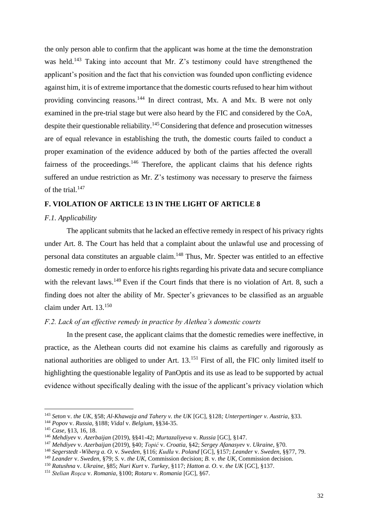the only person able to confirm that the applicant was home at the time the demonstration was held.<sup>143</sup> Taking into account that Mr. Z's testimony could have strengthened the applicant's position and the fact that his conviction was founded upon conflicting evidence against him, it is of extreme importance that the domestic courts refused to hear him without providing convincing reasons.<sup>144</sup> In direct contrast, Mx. A and Mx. B were not only examined in the pre-trial stage but were also heard by the FIC and considered by the CoA, despite their questionable reliability.<sup>145</sup> Considering that defence and prosecution witnesses are of equal relevance in establishing the truth, the domestic courts failed to conduct a proper examination of the evidence adduced by both of the parties affected the overall fairness of the proceedings. $146$  Therefore, the applicant claims that his defence rights suffered an undue restriction as Mr. Z's testimony was necessary to preserve the fairness of the trial.<sup>147</sup>

# <span id="page-31-0"></span>**F. VIOLATION OF ARTICLE 13 IN THE LIGHT OF ARTICLE 8**

#### <span id="page-31-1"></span>*F.1. Applicability*

The applicant submits that he lacked an effective remedy in respect of his privacy rights under Art. 8. The Court has held that a complaint about the unlawful use and processing of personal data constitutes an arguable claim.<sup>148</sup> Thus, Mr. Specter was entitled to an effective domestic remedy in order to enforce his rights regarding his private data and secure compliance with the relevant laws.<sup>149</sup> Even if the Court finds that there is no violation of Art. 8, such a finding does not alter the ability of Mr. Specter's grievances to be classified as an arguable claim under Art. 13.<sup>150</sup>

#### <span id="page-31-2"></span>*F.2. Lack of an effective remedy in practice by Alethea's domestic courts*

In the present case, the applicant claims that the domestic remedies were ineffective, in practice, as the Alethean courts did not examine his claims as carefully and rigorously as national authorities are obliged to under Art. 13.<sup>151</sup> First of all, the FIC only limited itself to highlighting the questionable legality of PanOptis and its use as lead to be supported by actual evidence without specifically dealing with the issue of the applicant's privacy violation which

<sup>143</sup> *Seton* v. *the UK*, §58; *Al-Khawaja and Tahery v. the UK* [GC], §128*; Unterpertinger v. Austria*, §33.

<sup>144</sup> *Popov* v. *Russia*, §188; *Vidal* v. *Belgium*, §§34-35.

<sup>145</sup> *Case,* §13, 16, 18.

<sup>146</sup> *Mehdiyev* v. *Azerbaijan* (2019), §§41-42; *Murtazaliyeva* v. *Russia* [GC], §147.

<sup>147</sup> *Mehdiyev* v. *Azerbaijan* (2019), §40; *Topić* v. *Croatia*, §42; *Sergey Afanasyev* v. *Ukraine*, §70.

<sup>148</sup> *Segerstedt -Wiberg a. O.* v. *Sweden*, §116; *Kudła* v. *Poland* [GC], §157; *Leander* v. *Sweden*, §§77, 79.

<sup>149</sup> *Leander* v. *Sweden*, §79; *S.* v. *the UK,* Commission decision; *B.* v. *the UK,* Commission decision.

<sup>150</sup> *Ratushna* v. *Ukraine*, §85; *Nuri Kurt* v. *Turkey*, §117; *Hatton a. O*. v. *the UK* [GC], §137.

<sup>151</sup> *Stelian Roşca* v. *Romania*, §100; *Rotaru* v. *Romania* [GC], §67.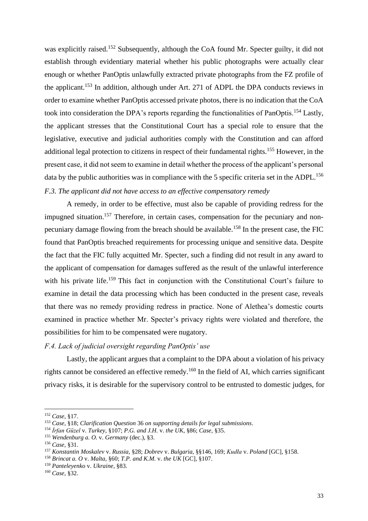was explicitly raised.<sup>152</sup> Subsequently, although the CoA found Mr. Specter guilty, it did not establish through evidentiary material whether his public photographs were actually clear enough or whether PanOptis unlawfully extracted private photographs from the FZ profile of the applicant.<sup>153</sup> In addition, although under Art. 271 of ADPL the DPA conducts reviews in order to examine whether PanOptis accessed private photos, there is no indication that the CoA took into consideration the DPA's reports regarding the functionalities of PanOptis.<sup>154</sup> Lastly, the applicant stresses that the Constitutional Court has a special role to ensure that the legislative, executive and judicial authorities comply with the Constitution and can afford additional legal protection to citizens in respect of their fundamental rights.<sup>155</sup> However, in the present case, it did not seem to examine in detail whether the process of the applicant's personal data by the public authorities was in compliance with the 5 specific criteria set in the ADPL.<sup>156</sup> *F.3. The applicant did not have access to an effective compensatory remedy* 

<span id="page-32-0"></span>A remedy, in order to be effective, must also be capable of providing redress for the impugned situation.<sup>157</sup> Therefore, in certain cases, compensation for the pecuniary and nonpecuniary damage flowing from the breach should be available.<sup>158</sup> In the present case, the FIC found that PanOptis breached requirements for processing unique and sensitive data. Despite the fact that the FIC fully acquitted Mr. Specter, such a finding did not result in any award to the applicant of compensation for damages suffered as the result of the unlawful interference with his private life.<sup>159</sup> This fact in conjunction with the Constitutional Court's failure to examine in detail the data processing which has been conducted in the present case, reveals that there was no remedy providing redress in practice. None of Alethea's domestic courts examined in practice whether Mr. Specter's privacy rights were violated and therefore, the possibilities for him to be compensated were nugatory.

#### <span id="page-32-1"></span>*F.4. Lack of judicial oversight regarding PanOptis' use*

Lastly, the applicant argues that a complaint to the DPA about a violation of his privacy rights cannot be considered an effective remedy.<sup>160</sup> In the field of AI, which carries significant privacy risks, it is desirable for the supervisory control to be entrusted to domestic judges, for

<sup>152</sup> *Case*, §17.

<sup>153</sup> *Case*, §18; *Clarification Question* 36 *on supporting details for legal submissions*.

<sup>154</sup> *İrfan Güzel* v. *Turkey*, §107; *P.G. and J.H.* v. *the UK*, §86; *Case,* §35.

<sup>155</sup> *Wendenburg a. O.* v. *Germany* (dec.), §3.

<sup>156</sup> *Case*, §31.

<sup>157</sup> *Konstantin Moskalev* v. *Russia,* §28; *Dobrev* v. *Bulgaria,* §§146, 169; *Kudła* v. *Poland* [GC]*,* §158.

<sup>158</sup> *Brincat a. O* v. *Malta,* §60; *T.P. and K.M.* v. *the UK* [GC], §107.

<sup>159</sup> *Panteleyenko* v. *Ukraine*, §83.

<sup>160</sup> *Case*, §32.